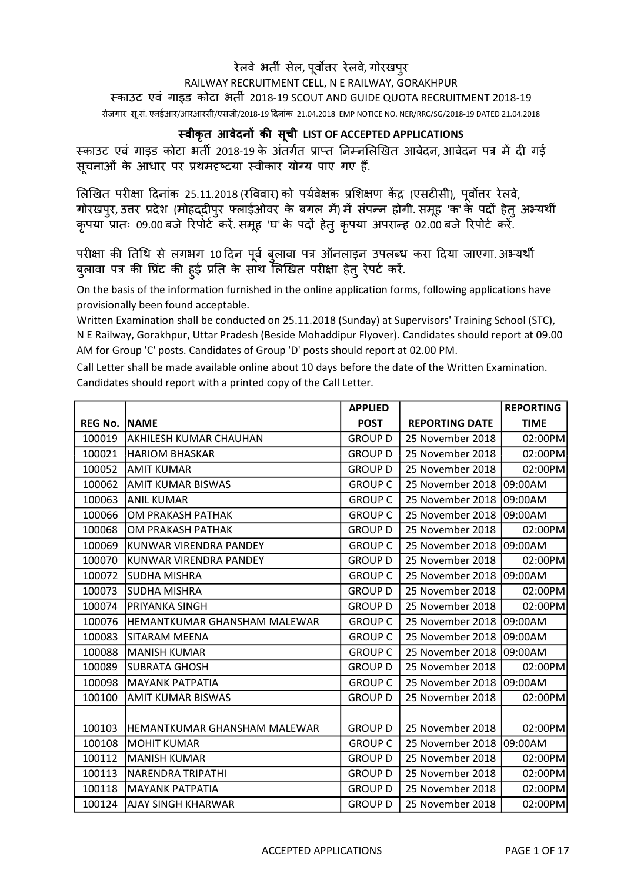## RAILWAY RECRUITMENT CELL, N E RAILWAY, GORAKHPUR रेलवे भर्ती सेल, पूर्वोत्तर रेलवे, गोरखपुर èकाउट एवं गाइड कोटा भतȸ 2018-19 SCOUT AND GUIDE QUOTA RECRUITMENT 2018-19

रोजगार सू.सं. एनईआर/आरआरसी/एसजी/2018-19 Ǒदनांक 21.04.2018 EMP NOTICE NO. NER/RRC/SG/2018-19 DATED 21.04.2018

## èवीकृत आवेदनɉ कȧ सचू ी LIST OF ACCEPTED APPLICATIONS

स्काउट एवं गाइड कोटा भर्ती 2018-19 के अंतर्गत प्राप्त निम्नलिखित आवेदन, आवेदन पत्र में दी गई सूचनाओं के आधार पर प्रथमदृष्टया स्वीकार योग्य पाए गए हैं.

लिखित परीक्षा दिनांक 25.11.2018 (रविवार) को पर्यवेक्षक प्रशिक्षण केंद्र (एसटीसी), पूर्वोत्तर रेलवे, गोरखपुर, उत्तर प्रदेश (मोहद्दीपुर फ्लाईओवर के बगल में) में संपन्न होगी. समूह 'क' के पदों हेतु अभ्यर्थी कृपया प्रातः 09.00 बजे रिपोर्ट करें. समूह 'घ' के पदों हेतु कृपया अपरान्ह 02.00 बजे रिपोर्ट करें.

परीक्षा की तिथि से लगभग 10 दिन पूर्व बुलावा पत्र ऑनलाइन उपलब्ध करा दिया जाएगा. अभ्यथी बुलावा पत्र की प्रिंट की हुई प्रति के साथ लिखित परीक्षा हेतु रेपर्ट करें.

On the basis of the information furnished in the online application forms, following applications have provisionally been found acceptable.

Written Examination shall be conducted on 25.11.2018 (Sunday) at Supervisors' Training School (STC), N E Railway, Gorakhpur, Uttar Pradesh (Beside Mohaddipur Flyover). Candidates should report at 09.00 AM for Group 'C' posts. Candidates of Group 'D' posts should report at 02.00 PM.

Call Letter shall be made available online about 10 days before the date of the Written Examination. Candidates should report with a printed copy of the Call Letter.

|                       |                                     | <b>APPLIED</b> |                       | <b>REPORTING</b> |
|-----------------------|-------------------------------------|----------------|-----------------------|------------------|
| <b>REG No.   NAME</b> |                                     | <b>POST</b>    | <b>REPORTING DATE</b> | <b>TIME</b>      |
| 100019                | <b>AKHILESH KUMAR CHAUHAN</b>       | <b>GROUP D</b> | 25 November 2018      | 02:00PM          |
| 100021                | <b>HARIOM BHASKAR</b>               | <b>GROUP D</b> | 25 November 2018      | 02:00PM          |
| 100052                | <b>AMIT KUMAR</b>                   | <b>GROUP D</b> | 25 November 2018      | 02:00PM          |
| 100062                | AMIT KUMAR BISWAS                   | <b>GROUP C</b> | 25 November 2018      | 09:00AM          |
| 100063                | <b>ANIL KUMAR</b>                   | <b>GROUP C</b> | 25 November 2018      | 09:00AM          |
| 100066                | OM PRAKASH PATHAK                   | <b>GROUP C</b> | 25 November 2018      | 09:00AM          |
| 100068                | OM PRAKASH PATHAK                   | <b>GROUP D</b> | 25 November 2018      | 02:00PM          |
| 100069                | KUNWAR VIRENDRA PANDEY              | <b>GROUP C</b> | 25 November 2018      | 09:00AM          |
| 100070                | IKUNWAR VIRENDRA PANDEY             | <b>GROUP D</b> | 25 November 2018      | 02:00PM          |
| 100072                | <b>SUDHA MISHRA</b>                 | <b>GROUP C</b> | 25 November 2018      | 09:00AM          |
| 100073                | <b>SUDHA MISHRA</b>                 | <b>GROUP D</b> | 25 November 2018      | 02:00PM          |
| 100074                | PRIYANKA SINGH                      | <b>GROUP D</b> | 25 November 2018      | 02:00PM          |
| 100076                | <b>HEMANTKUMAR GHANSHAM MALEWAR</b> | <b>GROUP C</b> | 25 November 2018      | 09:00AM          |
| 100083                | <b>SITARAM MEENA</b>                | <b>GROUP C</b> | 25 November 2018      | 09:00AM          |
| 100088                | <b>MANISH KUMAR</b>                 | <b>GROUP C</b> | 25 November 2018      | 09:00AM          |
| 100089                | <b>SUBRATA GHOSH</b>                | <b>GROUP D</b> | 25 November 2018      | 02:00PM          |
| 100098                | IMAYANK PATPATIA                    | <b>GROUP C</b> | 25 November 2018      | 09:00AM          |
| 100100                | <b>AMIT KUMAR BISWAS</b>            | <b>GROUP D</b> | 25 November 2018      | 02:00PM          |
|                       |                                     |                |                       |                  |
| 100103                | IHEMANTKUMAR GHANSHAM MALEWAR       | <b>GROUP D</b> | 25 November 2018      | 02:00PM          |
| 100108                | <b>MOHIT KUMAR</b>                  | <b>GROUP C</b> | 25 November 2018      | 09:00AM          |
| 100112                | <b>MANISH KUMAR</b>                 | <b>GROUP D</b> | 25 November 2018      | 02:00PM          |
| 100113                | <b>NARENDRA TRIPATHI</b>            | <b>GROUP D</b> | 25 November 2018      | 02:00PM          |
| 100118                | <b>MAYANK PATPATIA</b>              | <b>GROUP D</b> | 25 November 2018      | 02:00PM          |
| 100124                | AJAY SINGH KHARWAR                  | <b>GROUP D</b> | 25 November 2018      | 02:00PM          |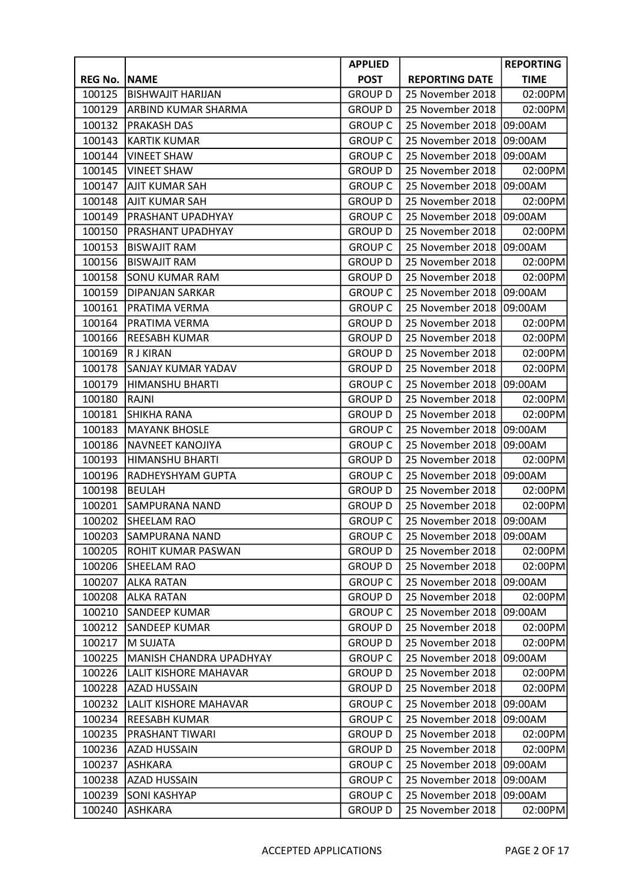|                |                          | <b>APPLIED</b> |                       | <b>REPORTING</b> |
|----------------|--------------------------|----------------|-----------------------|------------------|
| <b>REG No.</b> | <b>NAME</b>              | <b>POST</b>    | <b>REPORTING DATE</b> | <b>TIME</b>      |
| 100125         | <b>BISHWAJIT HARIJAN</b> | <b>GROUP D</b> | 25 November 2018      | 02:00PM          |
| 100129         | ARBIND KUMAR SHARMA      | <b>GROUP D</b> | 25 November 2018      | 02:00PM          |
| 100132         | <b>PRAKASH DAS</b>       | <b>GROUP C</b> | 25 November 2018      | 09:00AM          |
| 100143         | <b>KARTIK KUMAR</b>      | <b>GROUP C</b> | 25 November 2018      | 09:00AM          |
| 100144         | <b>VINEET SHAW</b>       | <b>GROUP C</b> | 25 November 2018      | 09:00AM          |
| 100145         | <b>VINEET SHAW</b>       | <b>GROUP D</b> | 25 November 2018      | 02:00PM          |
| 100147         | <b>AJIT KUMAR SAH</b>    | <b>GROUP C</b> | 25 November 2018      | 09:00AM          |
| 100148         | <b>AJIT KUMAR SAH</b>    | <b>GROUP D</b> | 25 November 2018      | 02:00PM          |
| 100149         | PRASHANT UPADHYAY        | <b>GROUP C</b> | 25 November 2018      | 09:00AM          |
| 100150         | PRASHANT UPADHYAY        | <b>GROUP D</b> | 25 November 2018      | 02:00PM          |
| 100153         | <b>BISWAJIT RAM</b>      | <b>GROUP C</b> | 25 November 2018      | 09:00AM          |
| 100156         | <b>BISWAJIT RAM</b>      | <b>GROUP D</b> | 25 November 2018      | 02:00PM          |
| 100158         | <b>SONU KUMAR RAM</b>    | <b>GROUP D</b> | 25 November 2018      | 02:00PM          |
| 100159         | DIPANJAN SARKAR          | <b>GROUP C</b> | 25 November 2018      | 09:00AM          |
| 100161         | PRATIMA VERMA            | <b>GROUP C</b> | 25 November 2018      | 09:00AM          |
| 100164         | PRATIMA VERMA            | <b>GROUP D</b> | 25 November 2018      | 02:00PM          |
| 100166         | <b>REESABH KUMAR</b>     | <b>GROUP D</b> | 25 November 2018      | 02:00PM          |
| 100169         | <b>RJ KIRAN</b>          | <b>GROUP D</b> | 25 November 2018      | 02:00PM          |
| 100178         | SANJAY KUMAR YADAV       | <b>GROUP D</b> | 25 November 2018      | 02:00PM          |
| 100179         | HIMANSHU BHARTI          | <b>GROUP C</b> | 25 November 2018      | 09:00AM          |
| 100180         | RAJNI                    | <b>GROUP D</b> | 25 November 2018      | 02:00PM          |
| 100181         | <b>SHIKHA RANA</b>       | <b>GROUP D</b> | 25 November 2018      | 02:00PM          |
| 100183         | <b>MAYANK BHOSLE</b>     | <b>GROUP C</b> | 25 November 2018      | 09:00AM          |
| 100186         | NAVNEET KANOJIYA         | <b>GROUP C</b> | 25 November 2018      | 09:00AM          |
| 100193         | <b>HIMANSHU BHARTI</b>   | <b>GROUP D</b> | 25 November 2018      | 02:00PM          |
| 100196         | RADHEYSHYAM GUPTA        | <b>GROUP C</b> | 25 November 2018      | 09:00AM          |
| 100198         | <b>BEULAH</b>            | <b>GROUP D</b> | 25 November 2018      | 02:00PM          |
| 100201         | <b>SAMPURANA NAND</b>    | <b>GROUP D</b> | 25 November 2018      | 02:00PM          |
| 100202         | SHEELAM RAO              | <b>GROUP C</b> | 25 November 2018      | 09:00AM          |
| 100203         | <b>SAMPURANA NAND</b>    | <b>GROUP C</b> | 25 November 2018      | 09:00AM          |
| 100205         | ROHIT KUMAR PASWAN       | <b>GROUP D</b> | 25 November 2018      | 02:00PM          |
| 100206         | SHEELAM RAO              | <b>GROUP D</b> | 25 November 2018      | 02:00PM          |
| 100207         | <b>ALKA RATAN</b>        | <b>GROUP C</b> | 25 November 2018      | 09:00AM          |
| 100208         | <b>ALKA RATAN</b>        | <b>GROUP D</b> | 25 November 2018      | 02:00PM          |
| 100210         | <b>SANDEEP KUMAR</b>     | <b>GROUP C</b> | 25 November 2018      | 09:00AM          |
| 100212         | SANDEEP KUMAR            | <b>GROUP D</b> | 25 November 2018      | 02:00PM          |
| 100217         | M SUJATA                 | <b>GROUP D</b> | 25 November 2018      | 02:00PM          |
| 100225         | MANISH CHANDRA UPADHYAY  | <b>GROUP C</b> | 25 November 2018      | 09:00AM          |
| 100226         | LALIT KISHORE MAHAVAR    | <b>GROUP D</b> | 25 November 2018      | 02:00PM          |
| 100228         | <b>AZAD HUSSAIN</b>      | <b>GROUP D</b> | 25 November 2018      | 02:00PM          |
| 100232         | LALIT KISHORE MAHAVAR    | <b>GROUP C</b> | 25 November 2018      | 09:00AM          |
| 100234         | <b>REESABH KUMAR</b>     | <b>GROUP C</b> | 25 November 2018      | 09:00AM          |
| 100235         | PRASHANT TIWARI          | <b>GROUP D</b> | 25 November 2018      | 02:00PM          |
| 100236         | AZAD HUSSAIN             | <b>GROUP D</b> | 25 November 2018      | 02:00PM          |
| 100237         | <b>ASHKARA</b>           | <b>GROUP C</b> | 25 November 2018      | 09:00AM          |
| 100238         | <b>AZAD HUSSAIN</b>      | <b>GROUP C</b> | 25 November 2018      | 09:00AM          |
| 100239         | <b>SONI KASHYAP</b>      | <b>GROUP C</b> | 25 November 2018      | 09:00AM          |
| 100240         | <b>ASHKARA</b>           | <b>GROUP D</b> | 25 November 2018      | 02:00PM          |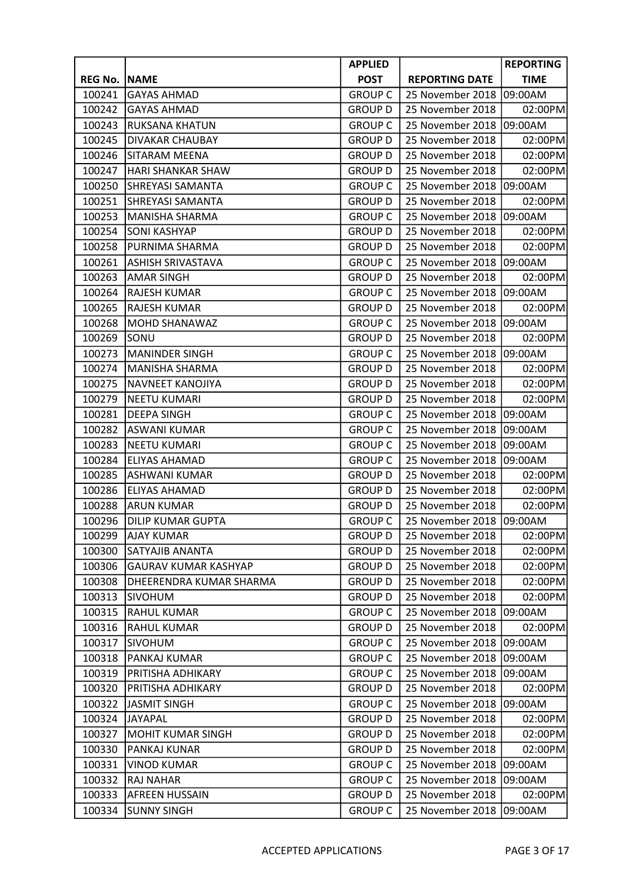|                |                             | <b>APPLIED</b> |                       | <b>REPORTING</b> |
|----------------|-----------------------------|----------------|-----------------------|------------------|
| <b>REG No.</b> | <b>NAME</b>                 | <b>POST</b>    | <b>REPORTING DATE</b> | <b>TIME</b>      |
| 100241         | <b>GAYAS AHMAD</b>          | <b>GROUP C</b> | 25 November 2018      | 09:00AM          |
| 100242         | <b>GAYAS AHMAD</b>          | <b>GROUP D</b> | 25 November 2018      | 02:00PM          |
| 100243         | <b>RUKSANA KHATUN</b>       | <b>GROUP C</b> | 25 November 2018      | 09:00AM          |
| 100245         | DIVAKAR CHAUBAY             | <b>GROUP D</b> | 25 November 2018      | 02:00PM          |
| 100246         | SITARAM MEENA               | <b>GROUP D</b> | 25 November 2018      | 02:00PM          |
| 100247         | <b>HARI SHANKAR SHAW</b>    | <b>GROUP D</b> | 25 November 2018      | 02:00PM          |
| 100250         | <b>SHREYASI SAMANTA</b>     | <b>GROUP C</b> | 25 November 2018      | 09:00AM          |
| 100251         | <b>SHREYASI SAMANTA</b>     | <b>GROUP D</b> | 25 November 2018      | 02:00PM          |
| 100253         | <b>MANISHA SHARMA</b>       | <b>GROUP C</b> | 25 November 2018      | 09:00AM          |
| 100254         | <b>SONI KASHYAP</b>         | <b>GROUP D</b> | 25 November 2018      | 02:00PM          |
| 100258         | PURNIMA SHARMA              | <b>GROUP D</b> | 25 November 2018      | 02:00PM          |
| 100261         | <b>ASHISH SRIVASTAVA</b>    | <b>GROUP C</b> | 25 November 2018      | 09:00AM          |
| 100263         | <b>AMAR SINGH</b>           | <b>GROUP D</b> | 25 November 2018      | 02:00PM          |
| 100264         | <b>RAJESH KUMAR</b>         | <b>GROUP C</b> | 25 November 2018      | 09:00AM          |
| 100265         | <b>RAJESH KUMAR</b>         | <b>GROUP D</b> | 25 November 2018      | 02:00PM          |
| 100268         | <b>MOHD SHANAWAZ</b>        | <b>GROUP C</b> | 25 November 2018      | 09:00AM          |
| 100269         | SONU                        | <b>GROUP D</b> | 25 November 2018      | 02:00PM          |
| 100273         | <b>MANINDER SINGH</b>       | <b>GROUP C</b> | 25 November 2018      | 09:00AM          |
| 100274         | <b>MANISHA SHARMA</b>       | <b>GROUP D</b> | 25 November 2018      | 02:00PM          |
| 100275         | <b>NAVNEET KANOJIYA</b>     | <b>GROUP D</b> | 25 November 2018      | 02:00PM          |
| 100279         | <b>NEETU KUMARI</b>         | <b>GROUP D</b> | 25 November 2018      | 02:00PM          |
| 100281         | <b>DEEPA SINGH</b>          | <b>GROUP C</b> | 25 November 2018      | 09:00AM          |
| 100282         | ASWANI KUMAR                | <b>GROUP C</b> | 25 November 2018      | 09:00AM          |
| 100283         | <b>NEETU KUMARI</b>         | <b>GROUP C</b> | 25 November 2018      | 09:00AM          |
| 100284         | <b>ELIYAS AHAMAD</b>        | <b>GROUP C</b> | 25 November 2018      | 09:00AM          |
| 100285         | <b>ASHWANI KUMAR</b>        | <b>GROUP D</b> | 25 November 2018      | 02:00PM          |
| 100286         | <b>ELIYAS AHAMAD</b>        | <b>GROUP D</b> | 25 November 2018      | 02:00PM          |
| 100288         | <b>ARUN KUMAR</b>           | <b>GROUP D</b> | 25 November 2018      | 02:00PM          |
| 100296         | <b>DILIP KUMAR GUPTA</b>    | <b>GROUP C</b> | 25 November 2018      | 09:00AM          |
| 100299         | <b>AJAY KUMAR</b>           | <b>GROUP D</b> | 25 November 2018      | 02:00PM          |
| 100300         | SATYAJIB ANANTA             | <b>GROUP D</b> | 25 November 2018      | 02:00PM          |
| 100306         | <b>GAURAV KUMAR KASHYAP</b> | <b>GROUP D</b> | 25 November 2018      | 02:00PM          |
| 100308         | DHEERENDRA KUMAR SHARMA     | <b>GROUP D</b> | 25 November 2018      | 02:00PM          |
| 100313         | <b>SIVOHUM</b>              | <b>GROUP D</b> | 25 November 2018      | 02:00PM          |
| 100315         | <b>RAHUL KUMAR</b>          | <b>GROUP C</b> | 25 November 2018      | 09:00AM          |
| 100316         | RAHUL KUMAR                 | <b>GROUP D</b> | 25 November 2018      | 02:00PM          |
| 100317         | <b>SIVOHUM</b>              | <b>GROUP C</b> | 25 November 2018      | 09:00AM          |
| 100318         | PANKAJ KUMAR                | <b>GROUP C</b> | 25 November 2018      | 09:00AM          |
| 100319         | PRITISHA ADHIKARY           | <b>GROUP C</b> | 25 November 2018      | 09:00AM          |
| 100320         | PRITISHA ADHIKARY           | <b>GROUP D</b> | 25 November 2018      | 02:00PM          |
| 100322         | <b>JASMIT SINGH</b>         | <b>GROUP C</b> | 25 November 2018      | 09:00AM          |
| 100324         | <b>JAYAPAL</b>              | <b>GROUP D</b> | 25 November 2018      | 02:00PM          |
| 100327         | MOHIT KUMAR SINGH           | <b>GROUP D</b> | 25 November 2018      | 02:00PM          |
| 100330         | PANKAJ KUNAR                | <b>GROUP D</b> | 25 November 2018      | 02:00PM          |
| 100331         | <b>VINOD KUMAR</b>          | <b>GROUP C</b> | 25 November 2018      | 09:00AM          |
| 100332         | RAJ NAHAR                   | <b>GROUP C</b> | 25 November 2018      | 09:00AM          |
| 100333         | AFREEN HUSSAIN              | <b>GROUP D</b> | 25 November 2018      | 02:00PM          |
| 100334         | <b>SUNNY SINGH</b>          | <b>GROUP C</b> | 25 November 2018      | 09:00AM          |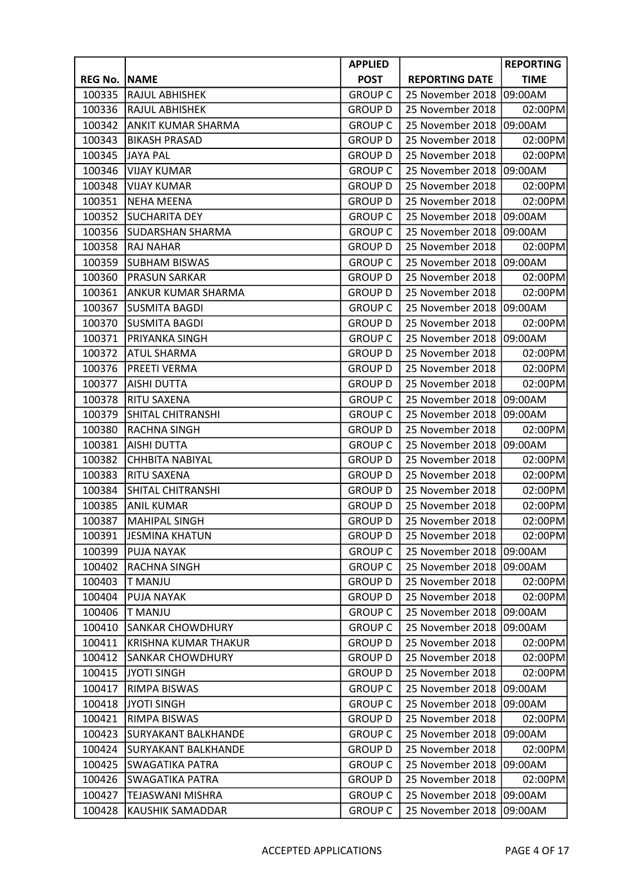|                |                             | <b>APPLIED</b> |                       | <b>REPORTING</b> |
|----------------|-----------------------------|----------------|-----------------------|------------------|
| <b>REG No.</b> | <b>NAME</b>                 | <b>POST</b>    | <b>REPORTING DATE</b> | <b>TIME</b>      |
| 100335         | RAJUL ABHISHEK              | <b>GROUP C</b> | 25 November 2018      | 09:00AM          |
| 100336         | RAJUL ABHISHEK              | <b>GROUP D</b> | 25 November 2018      | 02:00PM          |
| 100342         | <b>ANKIT KUMAR SHARMA</b>   | <b>GROUP C</b> | 25 November 2018      | 09:00AM          |
| 100343         | <b>BIKASH PRASAD</b>        | <b>GROUP D</b> | 25 November 2018      | 02:00PM          |
| 100345         | <b>JAYA PAL</b>             | <b>GROUP D</b> | 25 November 2018      | 02:00PM          |
| 100346         | <b>VIJAY KUMAR</b>          | <b>GROUP C</b> | 25 November 2018      | 09:00AM          |
| 100348         | <b>VIJAY KUMAR</b>          | <b>GROUP D</b> | 25 November 2018      | 02:00PM          |
| 100351         | <b>NEHA MEENA</b>           | <b>GROUP D</b> | 25 November 2018      | 02:00PM          |
| 100352         | <b>SUCHARITA DEY</b>        | <b>GROUP C</b> | 25 November 2018      | 09:00AM          |
| 100356         | <b>SUDARSHAN SHARMA</b>     | <b>GROUP C</b> | 25 November 2018      | 09:00AM          |
| 100358         | <b>RAJ NAHAR</b>            | <b>GROUP D</b> | 25 November 2018      | 02:00PM          |
| 100359         | <b>SUBHAM BISWAS</b>        | <b>GROUP C</b> | 25 November 2018      | 09:00AM          |
| 100360         | <b>PRASUN SARKAR</b>        | <b>GROUP D</b> | 25 November 2018      | 02:00PM          |
| 100361         | <b>ANKUR KUMAR SHARMA</b>   | <b>GROUP D</b> | 25 November 2018      | 02:00PM          |
| 100367         | SUSMITA BAGDI               | <b>GROUP C</b> | 25 November 2018      | 09:00AM          |
| 100370         | <b>SUSMITA BAGDI</b>        | <b>GROUP D</b> | 25 November 2018      | 02:00PM          |
| 100371         | PRIYANKA SINGH              | <b>GROUP C</b> | 25 November 2018      | 09:00AM          |
| 100372         | <b>ATUL SHARMA</b>          | <b>GROUP D</b> | 25 November 2018      | 02:00PM          |
| 100376         | <b>PREETI VERMA</b>         | <b>GROUP D</b> | 25 November 2018      | 02:00PM          |
| 100377         | AISHI DUTTA                 | <b>GROUP D</b> | 25 November 2018      | 02:00PM          |
| 100378         | RITU SAXENA                 | <b>GROUP C</b> | 25 November 2018      | 09:00AM          |
| 100379         | SHITAL CHITRANSHI           | <b>GROUP C</b> | 25 November 2018      | 09:00AM          |
| 100380         | RACHNA SINGH                | <b>GROUP D</b> | 25 November 2018      | 02:00PM          |
| 100381         | <b>AISHI DUTTA</b>          | <b>GROUP C</b> | 25 November 2018      | 09:00AM          |
| 100382         | <b>CHHBITA NABIYAL</b>      | <b>GROUP D</b> | 25 November 2018      | 02:00PM          |
| 100383         | RITU SAXENA                 | <b>GROUP D</b> | 25 November 2018      | 02:00PM          |
| 100384         | <b>SHITAL CHITRANSHI</b>    | <b>GROUP D</b> | 25 November 2018      | 02:00PM          |
| 100385         | <b>ANIL KUMAR</b>           | <b>GROUP D</b> | 25 November 2018      | 02:00PM          |
| 100387         | <b>MAHIPAL SINGH</b>        | <b>GROUP D</b> | 25 November 2018      | 02:00PM          |
| 100391         | <b>JESMINA KHATUN</b>       | <b>GROUP D</b> | 25 November 2018      | 02:00PM          |
| 100399         | <b>PUJA NAYAK</b>           | <b>GROUP C</b> | 25 November 2018      | 09:00AM          |
| 100402         | <b>RACHNA SINGH</b>         | <b>GROUP C</b> | 25 November 2018      | 09:00AM          |
| 100403         | <b>T MANJU</b>              | <b>GROUP D</b> | 25 November 2018      | 02:00PM          |
| 100404         | <b>PUJA NAYAK</b>           | <b>GROUP D</b> | 25 November 2018      | 02:00PM          |
| 100406         | <b>T MANJU</b>              | <b>GROUP C</b> | 25 November 2018      | 09:00AM          |
| 100410         | <b>SANKAR CHOWDHURY</b>     | <b>GROUP C</b> | 25 November 2018      | 09:00AM          |
| 100411         | <b>KRISHNA KUMAR THAKUR</b> | <b>GROUP D</b> | 25 November 2018      | 02:00PM          |
| 100412         | <b>SANKAR CHOWDHURY</b>     | <b>GROUP D</b> | 25 November 2018      | 02:00PM          |
| 100415         | <b>JYOTI SINGH</b>          | <b>GROUP D</b> | 25 November 2018      | 02:00PM          |
| 100417         | RIMPA BISWAS                | <b>GROUP C</b> | 25 November 2018      | 09:00AM          |
| 100418         | <b>JYOTI SINGH</b>          | <b>GROUP C</b> | 25 November 2018      | 09:00AM          |
| 100421         | RIMPA BISWAS                | <b>GROUP D</b> | 25 November 2018      | 02:00PM          |
| 100423         | <b>SURYAKANT BALKHANDE</b>  | <b>GROUP C</b> | 25 November 2018      | 09:00AM          |
| 100424         | <b>SURYAKANT BALKHANDE</b>  | <b>GROUP D</b> | 25 November 2018      | 02:00PM          |
| 100425         | <b>SWAGATIKA PATRA</b>      | <b>GROUP C</b> | 25 November 2018      | 09:00AM          |
| 100426         | <b>SWAGATIKA PATRA</b>      | <b>GROUP D</b> | 25 November 2018      | 02:00PM          |
| 100427         | TEJASWANI MISHRA            | <b>GROUP C</b> | 25 November 2018      | 09:00AM          |
| 100428         | KAUSHIK SAMADDAR            | <b>GROUP C</b> | 25 November 2018      | 09:00AM          |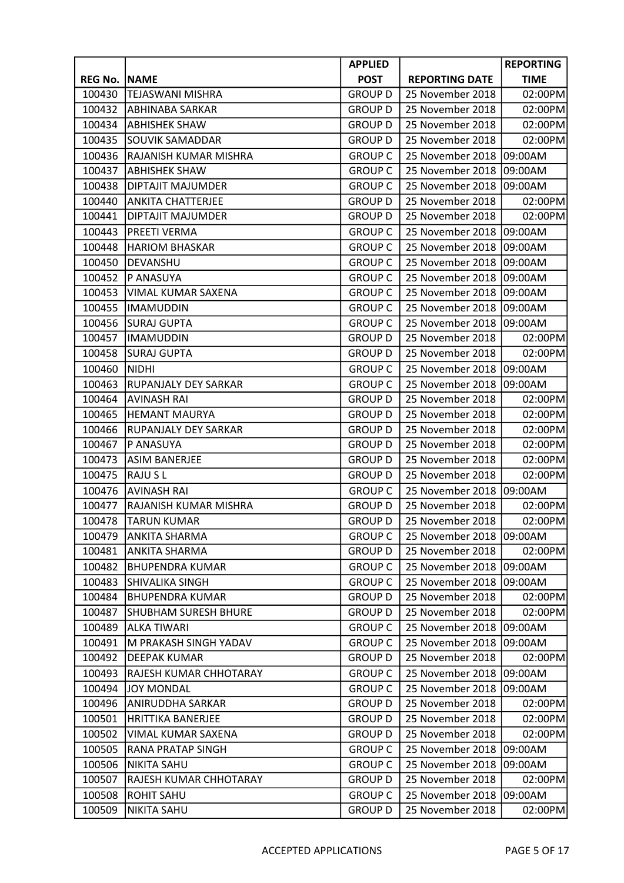|                |                             | <b>APPLIED</b> |                       | <b>REPORTING</b> |
|----------------|-----------------------------|----------------|-----------------------|------------------|
| <b>REG No.</b> | <b>NAME</b>                 | <b>POST</b>    | <b>REPORTING DATE</b> | <b>TIME</b>      |
| 100430         | <b>TEJASWANI MISHRA</b>     | <b>GROUP D</b> | 25 November 2018      | 02:00PM          |
| 100432         | <b>ABHINABA SARKAR</b>      | <b>GROUP D</b> | 25 November 2018      | 02:00PM          |
| 100434         | <b>ABHISHEK SHAW</b>        | <b>GROUP D</b> | 25 November 2018      | 02:00PM          |
| 100435         | <b>SOUVIK SAMADDAR</b>      | <b>GROUP D</b> | 25 November 2018      | 02:00PM          |
| 100436         | RAJANISH KUMAR MISHRA       | <b>GROUP C</b> | 25 November 2018      | 09:00AM          |
| 100437         | <b>ABHISHEK SHAW</b>        | <b>GROUP C</b> | 25 November 2018      | 09:00AM          |
| 100438         | <b>DIPTAJIT MAJUMDER</b>    | <b>GROUP C</b> | 25 November 2018      | 09:00AM          |
| 100440         | <b>ANKITA CHATTERJEE</b>    | <b>GROUP D</b> | 25 November 2018      | 02:00PM          |
| 100441         | DIPTAJIT MAJUMDER           | <b>GROUP D</b> | 25 November 2018      | 02:00PM          |
| 100443         | <b>PREETI VERMA</b>         | <b>GROUP C</b> | 25 November 2018      | 09:00AM          |
| 100448         | <b>HARIOM BHASKAR</b>       | <b>GROUP C</b> | 25 November 2018      | 09:00AM          |
| 100450         | DEVANSHU                    | <b>GROUP C</b> | 25 November 2018      | 09:00AM          |
| 100452         | P ANASUYA                   | <b>GROUP C</b> | 25 November 2018      | 09:00AM          |
| 100453         | <b>VIMAL KUMAR SAXENA</b>   | <b>GROUP C</b> | 25 November 2018      | 09:00AM          |
| 100455         | <b>IMAMUDDIN</b>            | <b>GROUP C</b> | 25 November 2018      | 09:00AM          |
| 100456         | <b>SURAJ GUPTA</b>          | <b>GROUP C</b> | 25 November 2018      | 09:00AM          |
| 100457         | <b>IMAMUDDIN</b>            | <b>GROUP D</b> | 25 November 2018      | 02:00PM          |
| 100458         | <b>SURAJ GUPTA</b>          | <b>GROUP D</b> | 25 November 2018      | 02:00PM          |
| 100460         | <b>NIDHI</b>                | <b>GROUP C</b> | 25 November 2018      | 09:00AM          |
| 100463         | <b>RUPANJALY DEY SARKAR</b> | <b>GROUP C</b> | 25 November 2018      | 09:00AM          |
| 100464         | <b>AVINASH RAI</b>          | <b>GROUP D</b> | 25 November 2018      | 02:00PM          |
| 100465         | <b>HEMANT MAURYA</b>        | <b>GROUP D</b> | 25 November 2018      | 02:00PM          |
| 100466         | RUPANJALY DEY SARKAR        | <b>GROUP D</b> | 25 November 2018      | 02:00PM          |
| 100467         | P ANASUYA                   | <b>GROUP D</b> | 25 November 2018      | 02:00PM          |
| 100473         | <b>ASIM BANERJEE</b>        | <b>GROUP D</b> | 25 November 2018      | 02:00PM          |
| 100475         | <b>RAJUSL</b>               | <b>GROUP D</b> | 25 November 2018      | 02:00PM          |
| 100476         | <b>AVINASH RAI</b>          | <b>GROUP C</b> | 25 November 2018      | 09:00AM          |
| 100477         | RAJANISH KUMAR MISHRA       | <b>GROUP D</b> | 25 November 2018      | 02:00PM          |
| 100478         | <b>TARUN KUMAR</b>          | <b>GROUP D</b> | 25 November 2018      | 02:00PM          |
| 100479         | <b>ANKITA SHARMA</b>        | <b>GROUP C</b> | 25 November 2018      | 09:00AM          |
| 100481         | <b>ANKITA SHARMA</b>        | <b>GROUP D</b> | 25 November 2018      | 02:00PM          |
| 100482         | <b>BHUPENDRA KUMAR</b>      | <b>GROUP C</b> | 25 November 2018      | 09:00AM          |
| 100483         | <b>SHIVALIKA SINGH</b>      | <b>GROUP C</b> | 25 November 2018      | 09:00AM          |
| 100484         | <b>BHUPENDRA KUMAR</b>      | <b>GROUP D</b> | 25 November 2018      | 02:00PM          |
| 100487         | <b>SHUBHAM SURESH BHURE</b> | <b>GROUP D</b> | 25 November 2018      | 02:00PM          |
| 100489         | <b>ALKA TIWARI</b>          | <b>GROUP C</b> | 25 November 2018      | 09:00AM          |
| 100491         | M PRAKASH SINGH YADAV       | <b>GROUP C</b> | 25 November 2018      | 09:00AM          |
| 100492         | <b>DEEPAK KUMAR</b>         | <b>GROUP D</b> | 25 November 2018      | 02:00PM          |
| 100493         | RAJESH KUMAR CHHOTARAY      | <b>GROUP C</b> | 25 November 2018      | 09:00AM          |
| 100494         | <b>JOY MONDAL</b>           | <b>GROUP C</b> | 25 November 2018      | 09:00AM          |
| 100496         | ANIRUDDHA SARKAR            | <b>GROUP D</b> | 25 November 2018      | 02:00PM          |
| 100501         | <b>HRITTIKA BANERJEE</b>    | <b>GROUP D</b> | 25 November 2018      | 02:00PM          |
| 100502         | VIMAL KUMAR SAXENA          | <b>GROUP D</b> | 25 November 2018      | 02:00PM          |
| 100505         | RANA PRATAP SINGH           | <b>GROUP C</b> | 25 November 2018      | 09:00AM          |
| 100506         | <b>NIKITA SAHU</b>          | <b>GROUP C</b> | 25 November 2018      | 09:00AM          |
| 100507         | RAJESH KUMAR CHHOTARAY      | <b>GROUP D</b> | 25 November 2018      | 02:00PM          |
| 100508         | <b>ROHIT SAHU</b>           | <b>GROUP C</b> | 25 November 2018      | 09:00AM          |
| 100509         | <b>NIKITA SAHU</b>          | <b>GROUP D</b> | 25 November 2018      | 02:00PM          |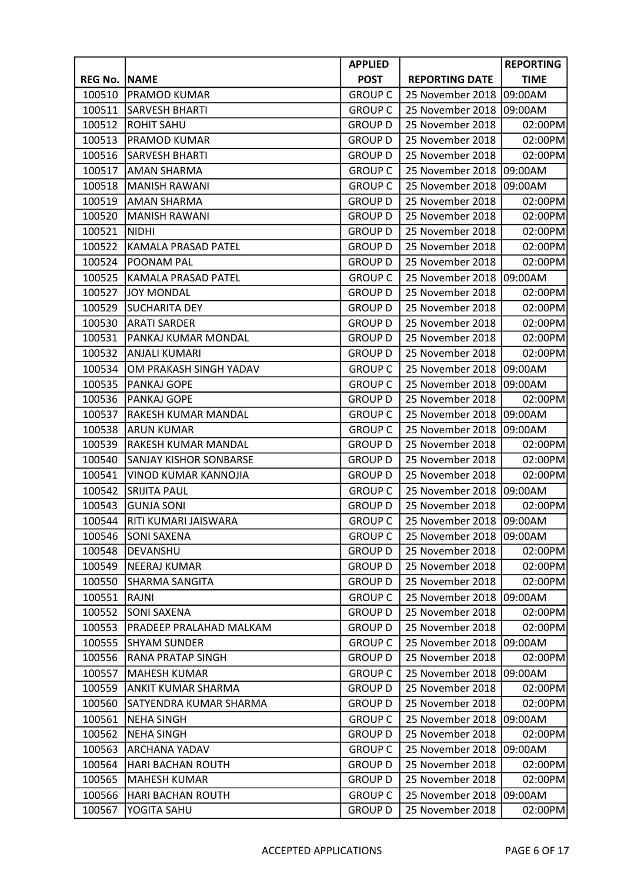|                |                               | <b>APPLIED</b> |                       | <b>REPORTING</b> |
|----------------|-------------------------------|----------------|-----------------------|------------------|
| <b>REG No.</b> | <b>NAME</b>                   | <b>POST</b>    | <b>REPORTING DATE</b> | <b>TIME</b>      |
| 100510         | PRAMOD KUMAR                  | <b>GROUP C</b> | 25 November 2018      | 09:00AM          |
| 100511         | <b>SARVESH BHARTI</b>         | <b>GROUP C</b> | 25 November 2018      | 09:00AM          |
| 100512         | <b>ROHIT SAHU</b>             | <b>GROUP D</b> | 25 November 2018      | 02:00PM          |
| 100513         | PRAMOD KUMAR                  | <b>GROUP D</b> | 25 November 2018      | 02:00PM          |
| 100516         | SARVESH BHARTI                | <b>GROUP D</b> | 25 November 2018      | 02:00PM          |
| 100517         | <b>AMAN SHARMA</b>            | <b>GROUP C</b> | 25 November 2018      | 09:00AM          |
| 100518         | <b>MANISH RAWANI</b>          | <b>GROUP C</b> | 25 November 2018      | 09:00AM          |
| 100519         | <b>AMAN SHARMA</b>            | <b>GROUP D</b> | 25 November 2018      | 02:00PM          |
| 100520         | <b>MANISH RAWANI</b>          | <b>GROUP D</b> | 25 November 2018      | 02:00PM          |
| 100521         | <b>NIDHI</b>                  | <b>GROUP D</b> | 25 November 2018      | 02:00PM          |
| 100522         | KAMALA PRASAD PATEL           | <b>GROUP D</b> | 25 November 2018      | 02:00PM          |
| 100524         | POONAM PAL                    | <b>GROUP D</b> | 25 November 2018      | 02:00PM          |
| 100525         | <b>KAMALA PRASAD PATEL</b>    | <b>GROUP C</b> | 25 November 2018      | 09:00AM          |
| 100527         | <b>JOY MONDAL</b>             | <b>GROUP D</b> | 25 November 2018      | 02:00PM          |
| 100529         | <b>SUCHARITA DEY</b>          | <b>GROUP D</b> | 25 November 2018      | 02:00PM          |
| 100530         | <b>ARATI SARDER</b>           | <b>GROUP D</b> | 25 November 2018      | 02:00PM          |
| 100531         | PANKAJ KUMAR MONDAL           | <b>GROUP D</b> | 25 November 2018      | 02:00PM          |
| 100532         | <b>ANJALI KUMARI</b>          | <b>GROUP D</b> | 25 November 2018      | 02:00PM          |
| 100534         | OM PRAKASH SINGH YADAV        | <b>GROUP C</b> | 25 November 2018      | 09:00AM          |
| 100535         | PANKAJ GOPE                   | <b>GROUP C</b> | 25 November 2018      | 09:00AM          |
| 100536         | PANKAJ GOPE                   | <b>GROUP D</b> | 25 November 2018      | 02:00PM          |
| 100537         | RAKESH KUMAR MANDAL           | <b>GROUP C</b> | 25 November 2018      | 09:00AM          |
| 100538         | <b>ARUN KUMAR</b>             | <b>GROUP C</b> | 25 November 2018      | 09:00AM          |
| 100539         | RAKESH KUMAR MANDAL           | <b>GROUP D</b> | 25 November 2018      | 02:00PM          |
| 100540         | <b>SANJAY KISHOR SONBARSE</b> | <b>GROUP D</b> | 25 November 2018      | 02:00PM          |
| 100541         | VINOD KUMAR KANNOJIA          | <b>GROUP D</b> | 25 November 2018      | 02:00PM          |
| 100542         | <b>SRIJITA PAUL</b>           | <b>GROUP C</b> | 25 November 2018      | 09:00AM          |
| 100543         | <b>GUNJA SONI</b>             | <b>GROUP D</b> | 25 November 2018      | 02:00PM          |
| 100544         | <b>IRITI KUMARI JAISWARA</b>  | <b>GROUP C</b> | 25 November 2018      | 09:00AM          |
| 100546         | <b>SONI SAXENA</b>            | <b>GROUP C</b> | 25 November 2018      | 09:00AM          |
| 100548         | DEVANSHU                      | <b>GROUP D</b> | 25 November 2018      | 02:00PM          |
| 100549         | <b>NEERAJ KUMAR</b>           | <b>GROUP D</b> | 25 November 2018      | 02:00PM          |
| 100550         | SHARMA SANGITA                | <b>GROUP D</b> | 25 November 2018      | 02:00PM          |
| 100551         | RAJNI                         | <b>GROUP C</b> | 25 November 2018      | 09:00AM          |
| 100552         | <b>SONI SAXENA</b>            | <b>GROUP D</b> | 25 November 2018      | 02:00PM          |
| 100553         | PRADEEP PRALAHAD MALKAM       | <b>GROUP D</b> | 25 November 2018      | 02:00PM          |
| 100555         | <b>SHYAM SUNDER</b>           | <b>GROUP C</b> | 25 November 2018      | 09:00AM          |
| 100556         | RANA PRATAP SINGH             | <b>GROUP D</b> | 25 November 2018      | 02:00PM          |
| 100557         | <b>MAHESH KUMAR</b>           | <b>GROUP C</b> | 25 November 2018      | 09:00AM          |
| 100559         | ANKIT KUMAR SHARMA            | <b>GROUP D</b> | 25 November 2018      | 02:00PM          |
| 100560         | SATYENDRA KUMAR SHARMA        | <b>GROUP D</b> | 25 November 2018      | 02:00PM          |
| 100561         | <b>NEHA SINGH</b>             | <b>GROUP C</b> | 25 November 2018      | 09:00AM          |
| 100562         | <b>NEHA SINGH</b>             | <b>GROUP D</b> | 25 November 2018      | 02:00PM          |
| 100563         | ARCHANA YADAV                 | <b>GROUP C</b> | 25 November 2018      | 09:00AM          |
| 100564         | <b>HARI BACHAN ROUTH</b>      | <b>GROUP D</b> | 25 November 2018      | 02:00PM          |
| 100565         | <b>MAHESH KUMAR</b>           | <b>GROUP D</b> | 25 November 2018      | 02:00PM          |
| 100566         | <b>HARI BACHAN ROUTH</b>      | <b>GROUP C</b> | 25 November 2018      | 09:00AM          |
| 100567         | YOGITA SAHU                   | <b>GROUP D</b> | 25 November 2018      | 02:00PM          |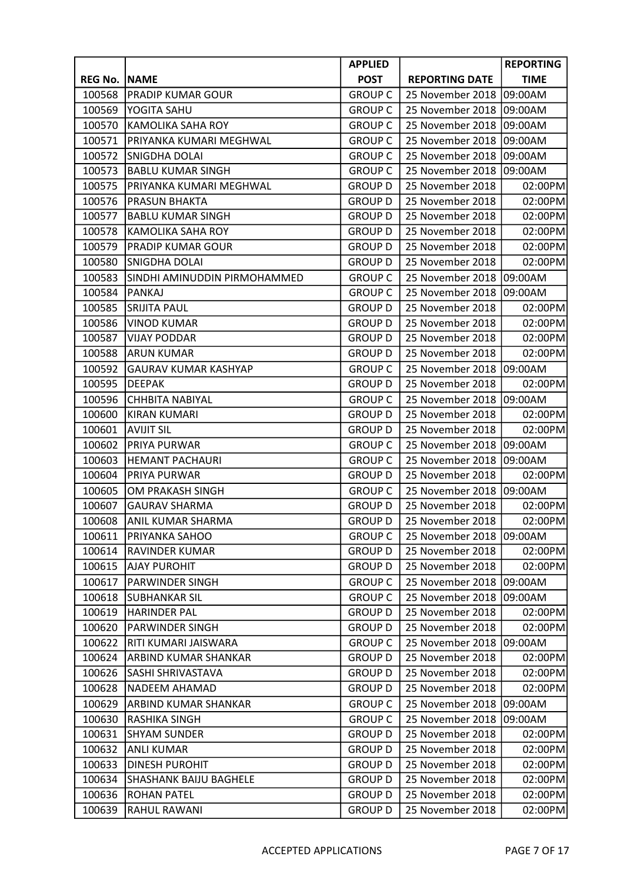|                |                               | <b>APPLIED</b> |                       | <b>REPORTING</b> |
|----------------|-------------------------------|----------------|-----------------------|------------------|
| <b>REG No.</b> | <b>NAME</b>                   | <b>POST</b>    | <b>REPORTING DATE</b> | <b>TIME</b>      |
| 100568         | <b>PRADIP KUMAR GOUR</b>      | <b>GROUP C</b> | 25 November 2018      | 09:00AM          |
| 100569         | YOGITA SAHU                   | <b>GROUP C</b> | 25 November 2018      | 09:00AM          |
| 100570         | <b>KAMOLIKA SAHA ROY</b>      | <b>GROUP C</b> | 25 November 2018      | 09:00AM          |
| 100571         | PRIYANKA KUMARI MEGHWAL       | <b>GROUP C</b> | 25 November 2018      | 09:00AM          |
| 100572         | SNIGDHA DOLAI                 | <b>GROUP C</b> | 25 November 2018      | 09:00AM          |
| 100573         | <b>BABLU KUMAR SINGH</b>      | <b>GROUP C</b> | 25 November 2018      | 09:00AM          |
| 100575         | PRIYANKA KUMARI MEGHWAL       | <b>GROUP D</b> | 25 November 2018      | 02:00PM          |
| 100576         | PRASUN BHAKTA                 | <b>GROUP D</b> | 25 November 2018      | 02:00PM          |
| 100577         | <b>BABLU KUMAR SINGH</b>      | <b>GROUP D</b> | 25 November 2018      | 02:00PM          |
| 100578         | <b>KAMOLIKA SAHA ROY</b>      | <b>GROUP D</b> | 25 November 2018      | 02:00PM          |
| 100579         | PRADIP KUMAR GOUR             | <b>GROUP D</b> | 25 November 2018      | 02:00PM          |
| 100580         | SNIGDHA DOLAI                 | <b>GROUP D</b> | 25 November 2018      | 02:00PM          |
| 100583         | SINDHI AMINUDDIN PIRMOHAMMED  | <b>GROUP C</b> | 25 November 2018      | 09:00AM          |
| 100584         | <b>PANKAJ</b>                 | <b>GROUP C</b> | 25 November 2018      | 09:00AM          |
| 100585         | <b>SRIJITA PAUL</b>           | <b>GROUP D</b> | 25 November 2018      | 02:00PM          |
| 100586         | <b>VINOD KUMAR</b>            | <b>GROUP D</b> | 25 November 2018      | 02:00PM          |
| 100587         | <b>VIJAY PODDAR</b>           | <b>GROUP D</b> | 25 November 2018      | 02:00PM          |
| 100588         | <b>ARUN KUMAR</b>             | <b>GROUP D</b> | 25 November 2018      | 02:00PM          |
| 100592         | <b>GAURAV KUMAR KASHYAP</b>   | <b>GROUP C</b> | 25 November 2018      | 09:00AM          |
| 100595         | <b>DEEPAK</b>                 | <b>GROUP D</b> | 25 November 2018      | 02:00PM          |
| 100596         | CHHBITA NABIYAL               | <b>GROUP C</b> | 25 November 2018      | 09:00AM          |
| 100600         | <b>KIRAN KUMARI</b>           | <b>GROUP D</b> | 25 November 2018      | 02:00PM          |
| 100601         | <b>AVIJIT SIL</b>             | <b>GROUP D</b> | 25 November 2018      | 02:00PM          |
| 100602         | PRIYA PURWAR                  | <b>GROUP C</b> | 25 November 2018      | 09:00AM          |
| 100603         | <b>HEMANT PACHAURI</b>        | <b>GROUP C</b> | 25 November 2018      | 09:00AM          |
| 100604         | PRIYA PURWAR                  | <b>GROUP D</b> | 25 November 2018      | 02:00PM          |
| 100605         | OM PRAKASH SINGH              | <b>GROUP C</b> | 25 November 2018      | 09:00AM          |
| 100607         | <b>GAURAV SHARMA</b>          | <b>GROUP D</b> | 25 November 2018      | 02:00PM          |
| 100608         | <b>ANIL KUMAR SHARMA</b>      | <b>GROUP D</b> | 25 November 2018      | 02:00PM          |
| 100611         | <b>PRIYANKA SAHOO</b>         | <b>GROUP C</b> | 25 November 2018      | 09:00AM          |
| 100614         | RAVINDER KUMAR                | <b>GROUP D</b> | 25 November 2018      | 02:00PM          |
| 100615         | <b>AJAY PUROHIT</b>           | <b>GROUP D</b> | 25 November 2018      | 02:00PM          |
| 100617         | PARWINDER SINGH               | <b>GROUP C</b> | 25 November 2018      | 09:00AM          |
| 100618         | <b>SUBHANKAR SIL</b>          | <b>GROUP C</b> | 25 November 2018      | 09:00AM          |
| 100619         | <b>HARINDER PAL</b>           | <b>GROUP D</b> | 25 November 2018      | 02:00PM          |
| 100620         | PARWINDER SINGH               | <b>GROUP D</b> | 25 November 2018      | 02:00PM          |
| 100622         | RITI KUMARI JAISWARA          | <b>GROUP C</b> | 25 November 2018      | 09:00AM          |
| 100624         | ARBIND KUMAR SHANKAR          | <b>GROUP D</b> | 25 November 2018      | 02:00PM          |
| 100626         | <b>SASHI SHRIVASTAVA</b>      | <b>GROUP D</b> | 25 November 2018      | 02:00PM          |
| 100628         | NADEEM AHAMAD                 | <b>GROUP D</b> | 25 November 2018      | 02:00PM          |
| 100629         | ARBIND KUMAR SHANKAR          | <b>GROUP C</b> | 25 November 2018      | 09:00AM          |
| 100630         | RASHIKA SINGH                 | <b>GROUP C</b> | 25 November 2018      | 09:00AM          |
| 100631         | <b>SHYAM SUNDER</b>           | <b>GROUP D</b> | 25 November 2018      | 02:00PM          |
| 100632         | <b>ANLI KUMAR</b>             | <b>GROUP D</b> | 25 November 2018      | 02:00PM          |
| 100633         | <b>DINESH PUROHIT</b>         | <b>GROUP D</b> | 25 November 2018      | 02:00PM          |
| 100634         | <b>SHASHANK BAIJU BAGHELE</b> | <b>GROUP D</b> | 25 November 2018      | 02:00PM          |
| 100636         | <b>ROHAN PATEL</b>            | <b>GROUP D</b> | 25 November 2018      | 02:00PM          |
| 100639         | RAHUL RAWANI                  | <b>GROUP D</b> | 25 November 2018      | 02:00PM          |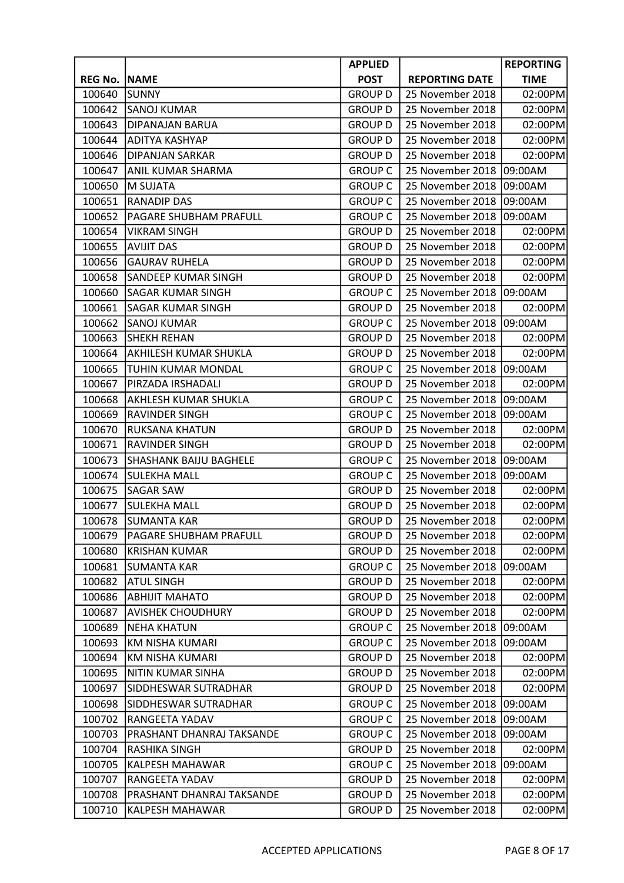|                |                               | <b>APPLIED</b> |                       | <b>REPORTING</b> |
|----------------|-------------------------------|----------------|-----------------------|------------------|
| <b>REG No.</b> | <b>NAME</b>                   | <b>POST</b>    | <b>REPORTING DATE</b> | <b>TIME</b>      |
| 100640         | <b>SUNNY</b>                  | <b>GROUP D</b> | 25 November 2018      | 02:00PM          |
| 100642         | <b>SANOJ KUMAR</b>            | <b>GROUP D</b> | 25 November 2018      | 02:00PM          |
| 100643         | <b>DIPANAJAN BARUA</b>        | <b>GROUP D</b> | 25 November 2018      | 02:00PM          |
| 100644         | <b>ADITYA KASHYAP</b>         | <b>GROUP D</b> | 25 November 2018      | 02:00PM          |
| 100646         | <b>DIPANJAN SARKAR</b>        | <b>GROUP D</b> | 25 November 2018      | 02:00PM          |
| 100647         | ANIL KUMAR SHARMA             | <b>GROUP C</b> | 25 November 2018      | 09:00AM          |
| 100650         | M SUJATA                      | <b>GROUP C</b> | 25 November 2018      | 09:00AM          |
| 100651         | <b>RANADIP DAS</b>            | <b>GROUP C</b> | 25 November 2018      | 09:00AM          |
| 100652         | PAGARE SHUBHAM PRAFULL        | <b>GROUP C</b> | 25 November 2018      | 09:00AM          |
| 100654         | <b>VIKRAM SINGH</b>           | <b>GROUP D</b> | 25 November 2018      | 02:00PM          |
| 100655         | <b>AVIJIT DAS</b>             | <b>GROUP D</b> | 25 November 2018      | 02:00PM          |
| 100656         | <b>GAURAV RUHELA</b>          | <b>GROUP D</b> | 25 November 2018      | 02:00PM          |
| 100658         | SANDEEP KUMAR SINGH           | <b>GROUP D</b> | 25 November 2018      | 02:00PM          |
| 100660         | <b>SAGAR KUMAR SINGH</b>      | <b>GROUP C</b> | 25 November 2018      | 09:00AM          |
| 100661         | <b>SAGAR KUMAR SINGH</b>      | <b>GROUP D</b> | 25 November 2018      | 02:00PM          |
| 100662         | <b>SANOJ KUMAR</b>            | <b>GROUP C</b> | 25 November 2018      | 09:00AM          |
| 100663         | <b>SHEKH REHAN</b>            | <b>GROUP D</b> | 25 November 2018      | 02:00PM          |
| 100664         | AKHILESH KUMAR SHUKLA         | <b>GROUP D</b> | 25 November 2018      | 02:00PM          |
| 100665         | TUHIN KUMAR MONDAL            | <b>GROUP C</b> | 25 November 2018      | 09:00AM          |
| 100667         | PIRZADA IRSHADALI             | <b>GROUP D</b> | 25 November 2018      | 02:00PM          |
| 100668         | AKHLESH KUMAR SHUKLA          | <b>GROUP C</b> | 25 November 2018      | 09:00AM          |
| 100669         | <b>RAVINDER SINGH</b>         | <b>GROUP C</b> | 25 November 2018      | 09:00AM          |
| 100670         | RUKSANA KHATUN                | <b>GROUP D</b> | 25 November 2018      | 02:00PM          |
| 100671         | RAVINDER SINGH                | <b>GROUP D</b> | 25 November 2018      | 02:00PM          |
| 100673         | <b>SHASHANK BAIJU BAGHELE</b> | <b>GROUP C</b> | 25 November 2018      | 09:00AM          |
| 100674         | <b>SULEKHA MALL</b>           | <b>GROUP C</b> | 25 November 2018      | 09:00AM          |
| 100675         | <b>SAGAR SAW</b>              | <b>GROUP D</b> | 25 November 2018      | 02:00PM          |
| 100677         | <b>SULEKHA MALL</b>           | <b>GROUP D</b> | 25 November 2018      | 02:00PM          |
| 100678         | SUMANTA KAR                   | <b>GROUP D</b> | 25 November 2018      | 02:00PM          |
| 100679         | <b>PAGARE SHUBHAM PRAFULL</b> | <b>GROUP D</b> | 25 November 2018      | 02:00PM          |
| 100680         | <b>KRISHAN KUMAR</b>          | <b>GROUP D</b> | 25 November 2018      | 02:00PM          |
| 100681         | <b>SUMANTA KAR</b>            | <b>GROUP C</b> | 25 November 2018      | 09:00AM          |
| 100682         | <b>ATUL SINGH</b>             | <b>GROUP D</b> | 25 November 2018      | 02:00PM          |
| 100686         | <b>ABHIJIT MAHATO</b>         | <b>GROUP D</b> | 25 November 2018      | 02:00PM          |
| 100687         | <b>AVISHEK CHOUDHURY</b>      | <b>GROUP D</b> | 25 November 2018      | 02:00PM          |
| 100689         | <b>NEHA KHATUN</b>            | <b>GROUP C</b> | 25 November 2018      | 09:00AM          |
| 100693         | KM NISHA KUMARI               | <b>GROUP C</b> | 25 November 2018      | 09:00AM          |
| 100694         | <b>KM NISHA KUMARI</b>        | <b>GROUP D</b> | 25 November 2018      | 02:00PM          |
| 100695         | NITIN KUMAR SINHA             | <b>GROUP D</b> | 25 November 2018      | 02:00PM          |
| 100697         | SIDDHESWAR SUTRADHAR          | <b>GROUP D</b> | 25 November 2018      | 02:00PM          |
| 100698         | SIDDHESWAR SUTRADHAR          | <b>GROUP C</b> | 25 November 2018      | 09:00AM          |
| 100702         | RANGEETA YADAV                | <b>GROUP C</b> | 25 November 2018      | 09:00AM          |
| 100703         | PRASHANT DHANRAJ TAKSANDE     | <b>GROUP C</b> | 25 November 2018      | 09:00AM          |
| 100704         | RASHIKA SINGH                 | <b>GROUP D</b> | 25 November 2018      | 02:00PM          |
| 100705         | KALPESH MAHAWAR               | <b>GROUP C</b> | 25 November 2018      | 09:00AM          |
| 100707         | RANGEETA YADAV                | <b>GROUP D</b> | 25 November 2018      | 02:00PM          |
| 100708         | PRASHANT DHANRAJ TAKSANDE     | <b>GROUP D</b> | 25 November 2018      | 02:00PM          |
| 100710         | KALPESH MAHAWAR               | <b>GROUP D</b> | 25 November 2018      | 02:00PM          |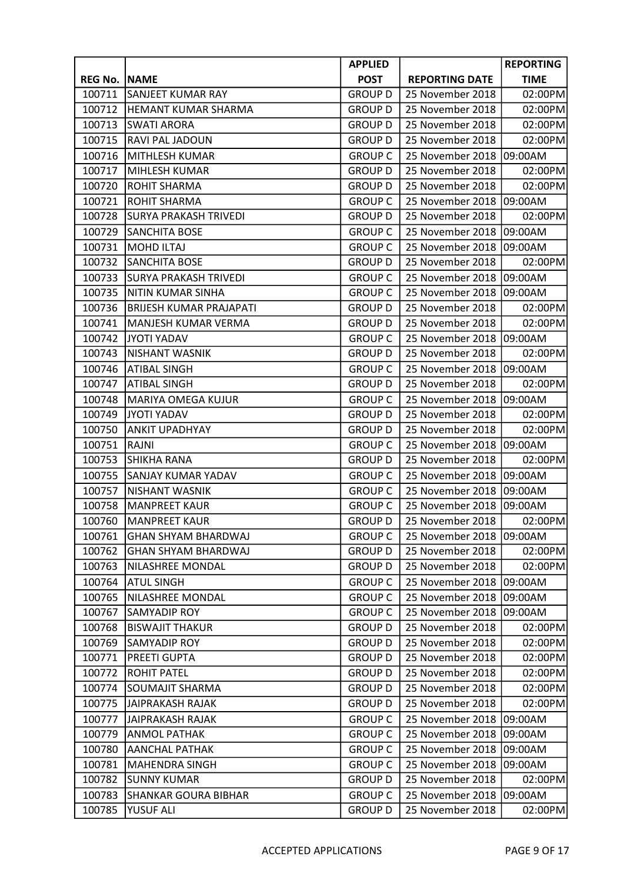|                |                                | <b>APPLIED</b> |                       | <b>REPORTING</b> |
|----------------|--------------------------------|----------------|-----------------------|------------------|
| <b>REG No.</b> | <b>NAME</b>                    | <b>POST</b>    | <b>REPORTING DATE</b> | <b>TIME</b>      |
| 100711         | SANJEET KUMAR RAY              | <b>GROUP D</b> | 25 November 2018      | 02:00PM          |
| 100712         | HEMANT KUMAR SHARMA            | <b>GROUP D</b> | 25 November 2018      | 02:00PM          |
| 100713         | SWATI ARORA                    | <b>GROUP D</b> | 25 November 2018      | 02:00PM          |
| 100715         | RAVI PAL JADOUN                | <b>GROUP D</b> | 25 November 2018      | 02:00PM          |
| 100716         | MITHLESH KUMAR                 | <b>GROUP C</b> | 25 November 2018      | 09:00AM          |
| 100717         | MIHLESH KUMAR                  | <b>GROUP D</b> | 25 November 2018      | 02:00PM          |
| 100720         | <b>ROHIT SHARMA</b>            | <b>GROUP D</b> | 25 November 2018      | 02:00PM          |
| 100721         | <b>ROHIT SHARMA</b>            | <b>GROUP C</b> | 25 November 2018      | 09:00AM          |
| 100728         | <b>SURYA PRAKASH TRIVEDI</b>   | <b>GROUP D</b> | 25 November 2018      | 02:00PM          |
| 100729         | <b>SANCHITA BOSE</b>           | <b>GROUP C</b> | 25 November 2018      | 09:00AM          |
| 100731         | <b>MOHD ILTAJ</b>              | <b>GROUP C</b> | 25 November 2018      | 09:00AM          |
| 100732         | <b>SANCHITA BOSE</b>           | <b>GROUP D</b> | 25 November 2018      | 02:00PM          |
| 100733         | <b>SURYA PRAKASH TRIVEDI</b>   | <b>GROUP C</b> | 25 November 2018      | 09:00AM          |
| 100735         | NITIN KUMAR SINHA              | <b>GROUP C</b> | 25 November 2018      | 09:00AM          |
| 100736         | <b>BRIJESH KUMAR PRAJAPATI</b> | <b>GROUP D</b> | 25 November 2018      | 02:00PM          |
| 100741         | MANJESH KUMAR VERMA            | <b>GROUP D</b> | 25 November 2018      | 02:00PM          |
| 100742         | JYOTI YADAV                    | <b>GROUP C</b> | 25 November 2018      | 09:00AM          |
| 100743         | <b>NISHANT WASNIK</b>          | <b>GROUP D</b> | 25 November 2018      | 02:00PM          |
| 100746         | <b>ATIBAL SINGH</b>            | <b>GROUP C</b> | 25 November 2018      | 09:00AM          |
| 100747         | <b>ATIBAL SINGH</b>            | <b>GROUP D</b> | 25 November 2018      | 02:00PM          |
| 100748         | <b>MARIYA OMEGA KUJUR</b>      | <b>GROUP C</b> | 25 November 2018      | 09:00AM          |
| 100749         | JYOTI YADAV                    | <b>GROUP D</b> | 25 November 2018      | 02:00PM          |
| 100750         | <b>ANKIT UPADHYAY</b>          | <b>GROUP D</b> | 25 November 2018      | 02:00PM          |
| 100751         | <b>RAJNI</b>                   | <b>GROUP C</b> | 25 November 2018      | 09:00AM          |
| 100753         | <b>SHIKHA RANA</b>             | <b>GROUP D</b> | 25 November 2018      | 02:00PM          |
| 100755         | <b>SANJAY KUMAR YADAV</b>      | <b>GROUP C</b> | 25 November 2018      | 09:00AM          |
| 100757         | <b>NISHANT WASNIK</b>          | <b>GROUP C</b> | 25 November 2018      | 09:00AM          |
| 100758         | <b>MANPREET KAUR</b>           | <b>GROUP C</b> | 25 November 2018      | 09:00AM          |
| 100760         | <b>MANPREET KAUR</b>           | <b>GROUP D</b> | 25 November 2018      | 02:00PM          |
| 100761         | <b>GHAN SHYAM BHARDWAJ</b>     | <b>GROUP C</b> | 25 November 2018      | 09:00AM          |
| 100762         | <b>GHAN SHYAM BHARDWAJ</b>     | <b>GROUP D</b> | 25 November 2018      | 02:00PM          |
| 100763         | NILASHREE MONDAL               | <b>GROUP D</b> | 25 November 2018      | 02:00PM          |
| 100764         | <b>ATUL SINGH</b>              | <b>GROUP C</b> | 25 November 2018      | 09:00AM          |
| 100765         | NILASHREE MONDAL               | <b>GROUP C</b> | 25 November 2018      | 09:00AM          |
| 100767         | SAMYADIP ROY                   | <b>GROUP C</b> | 25 November 2018      | 09:00AM          |
| 100768         | <b>BISWAJIT THAKUR</b>         | <b>GROUP D</b> | 25 November 2018      | 02:00PM          |
| 100769         | SAMYADIP ROY                   | <b>GROUP D</b> | 25 November 2018      | 02:00PM          |
| 100771         | PREETI GUPTA                   | <b>GROUP D</b> | 25 November 2018      | 02:00PM          |
| 100772         | <b>ROHIT PATEL</b>             | <b>GROUP D</b> | 25 November 2018      | 02:00PM          |
| 100774         | SOUMAJIT SHARMA                | <b>GROUP D</b> | 25 November 2018      | 02:00PM          |
| 100775         | <b>JAIPRAKASH RAJAK</b>        | <b>GROUP D</b> | 25 November 2018      | 02:00PM          |
| 100777         | <b>JAIPRAKASH RAJAK</b>        | <b>GROUP C</b> | 25 November 2018      | 09:00AM          |
| 100779         | <b>ANMOL PATHAK</b>            | <b>GROUP C</b> | 25 November 2018      | 09:00AM          |
| 100780         | <b>AANCHAL PATHAK</b>          | <b>GROUP C</b> | 25 November 2018      | 09:00AM          |
| 100781         | <b>MAHENDRA SINGH</b>          | <b>GROUP C</b> | 25 November 2018      | 09:00AM          |
| 100782         | <b>SUNNY KUMAR</b>             | <b>GROUP D</b> | 25 November 2018      | 02:00PM          |
| 100783         | <b>SHANKAR GOURA BIBHAR</b>    | <b>GROUP C</b> | 25 November 2018      | 09:00AM          |
| 100785         | YUSUF ALI                      | <b>GROUP D</b> | 25 November 2018      | 02:00PM          |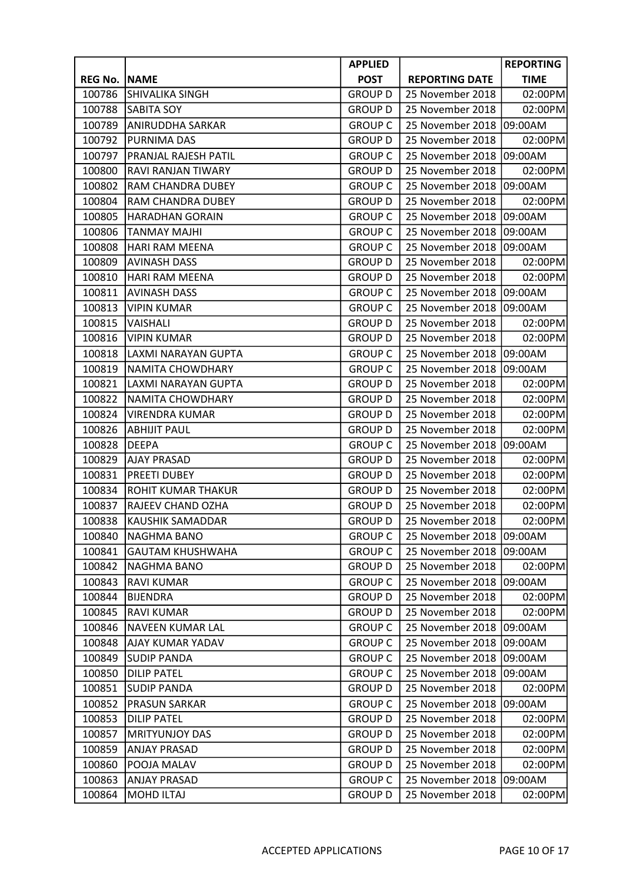|                |                             | <b>APPLIED</b> |                       | <b>REPORTING</b> |
|----------------|-----------------------------|----------------|-----------------------|------------------|
| <b>REG No.</b> | <b>NAME</b>                 | <b>POST</b>    | <b>REPORTING DATE</b> | <b>TIME</b>      |
| 100786         | SHIVALIKA SINGH             | <b>GROUP D</b> | 25 November 2018      | 02:00PM          |
| 100788         | <b>SABITA SOY</b>           | <b>GROUP D</b> | 25 November 2018      | 02:00PM          |
| 100789         | <b>ANIRUDDHA SARKAR</b>     | <b>GROUP C</b> | 25 November 2018      | 09:00AM          |
| 100792         | <b>PURNIMA DAS</b>          | <b>GROUP D</b> | 25 November 2018      | 02:00PM          |
| 100797         | <b>PRANJAL RAJESH PATIL</b> | <b>GROUP C</b> | 25 November 2018      | 09:00AM          |
| 100800         | RAVI RANJAN TIWARY          | <b>GROUP D</b> | 25 November 2018      | 02:00PM          |
| 100802         | <b>RAM CHANDRA DUBEY</b>    | <b>GROUP C</b> | 25 November 2018      | 09:00AM          |
| 100804         | <b>RAM CHANDRA DUBEY</b>    | <b>GROUP D</b> | 25 November 2018      | 02:00PM          |
| 100805         | <b>HARADHAN GORAIN</b>      | <b>GROUP C</b> | 25 November 2018      | 09:00AM          |
| 100806         | <b>TANMAY MAJHI</b>         | <b>GROUP C</b> | 25 November 2018      | 09:00AM          |
| 100808         | <b>HARI RAM MEENA</b>       | <b>GROUP C</b> | 25 November 2018      | 09:00AM          |
| 100809         | <b>AVINASH DASS</b>         | <b>GROUP D</b> | 25 November 2018      | 02:00PM          |
| 100810         | <b>HARI RAM MEENA</b>       | <b>GROUP D</b> | 25 November 2018      | 02:00PM          |
| 100811         | <b>AVINASH DASS</b>         | <b>GROUP C</b> | 25 November 2018      | 09:00AM          |
| 100813         | <b>VIPIN KUMAR</b>          | <b>GROUP C</b> | 25 November 2018      | 09:00AM          |
| 100815         | VAISHALI                    | <b>GROUP D</b> | 25 November 2018      | 02:00PM          |
| 100816         | VIPIN KUMAR                 | <b>GROUP D</b> | 25 November 2018      | 02:00PM          |
| 100818         | <b>LAXMI NARAYAN GUPTA</b>  | <b>GROUP C</b> | 25 November 2018      | 09:00AM          |
| 100819         | <b>NAMITA CHOWDHARY</b>     | <b>GROUP C</b> | 25 November 2018      | 09:00AM          |
| 100821         | LAXMI NARAYAN GUPTA         | <b>GROUP D</b> | 25 November 2018      | 02:00PM          |
| 100822         | NAMITA CHOWDHARY            | <b>GROUP D</b> | 25 November 2018      | 02:00PM          |
| 100824         | <b>VIRENDRA KUMAR</b>       | <b>GROUP D</b> | 25 November 2018      | 02:00PM          |
| 100826         | <b>ABHIJIT PAUL</b>         | <b>GROUP D</b> | 25 November 2018      | 02:00PM          |
| 100828         | <b>DEEPA</b>                | <b>GROUP C</b> | 25 November 2018      | 09:00AM          |
| 100829         | <b>AJAY PRASAD</b>          | <b>GROUP D</b> | 25 November 2018      | 02:00PM          |
| 100831         | <b>PREETI DUBEY</b>         | <b>GROUP D</b> | 25 November 2018      | 02:00PM          |
| 100834         | ROHIT KUMAR THAKUR          | <b>GROUP D</b> | 25 November 2018      | 02:00PM          |
| 100837         | RAJEEV CHAND OZHA           | <b>GROUP D</b> | 25 November 2018      | 02:00PM          |
| 100838         | KAUSHIK SAMADDAR            | <b>GROUP D</b> | 25 November 2018      | 02:00PM          |
| 100840         | NAGHMA BANO                 | <b>GROUP C</b> | 25 November 2018      | 09:00AM          |
| 100841         | <b>GAUTAM KHUSHWAHA</b>     | <b>GROUP C</b> | 25 November 2018      | 09:00AM          |
| 100842         | <b>NAGHMA BANO</b>          | <b>GROUP D</b> | 25 November 2018      | 02:00PM          |
| 100843         | <b>RAVI KUMAR</b>           | <b>GROUP C</b> | 25 November 2018      | 09:00AM          |
| 100844         | <b>BIJENDRA</b>             | <b>GROUP D</b> | 25 November 2018      | 02:00PM          |
| 100845         | <b>RAVI KUMAR</b>           | <b>GROUP D</b> | 25 November 2018      | 02:00PM          |
| 100846         | <b>NAVEEN KUMAR LAL</b>     | <b>GROUP C</b> | 25 November 2018      | 09:00AM          |
| 100848         | AJAY KUMAR YADAV            | <b>GROUP C</b> | 25 November 2018      | 09:00AM          |
| 100849         | <b>SUDIP PANDA</b>          | <b>GROUP C</b> | 25 November 2018      | 09:00AM          |
| 100850         | <b>DILIP PATEL</b>          | <b>GROUP C</b> | 25 November 2018      | 09:00AM          |
| 100851         | <b>SUDIP PANDA</b>          | <b>GROUP D</b> | 25 November 2018      | 02:00PM          |
| 100852         | <b>PRASUN SARKAR</b>        | <b>GROUP C</b> | 25 November 2018      | 09:00AM          |
| 100853         | <b>DILIP PATEL</b>          | <b>GROUP D</b> | 25 November 2018      | 02:00PM          |
| 100857         | <b>MRITYUNJOY DAS</b>       | <b>GROUP D</b> | 25 November 2018      | 02:00PM          |
| 100859         | <b>ANJAY PRASAD</b>         | <b>GROUP D</b> | 25 November 2018      | 02:00PM          |
| 100860         | POOJA MALAV                 | <b>GROUP D</b> | 25 November 2018      | 02:00PM          |
| 100863         | <b>ANJAY PRASAD</b>         | <b>GROUP C</b> | 25 November 2018      | 09:00AM          |
| 100864         | <b>MOHD ILTAJ</b>           | <b>GROUP D</b> | 25 November 2018      | 02:00PM          |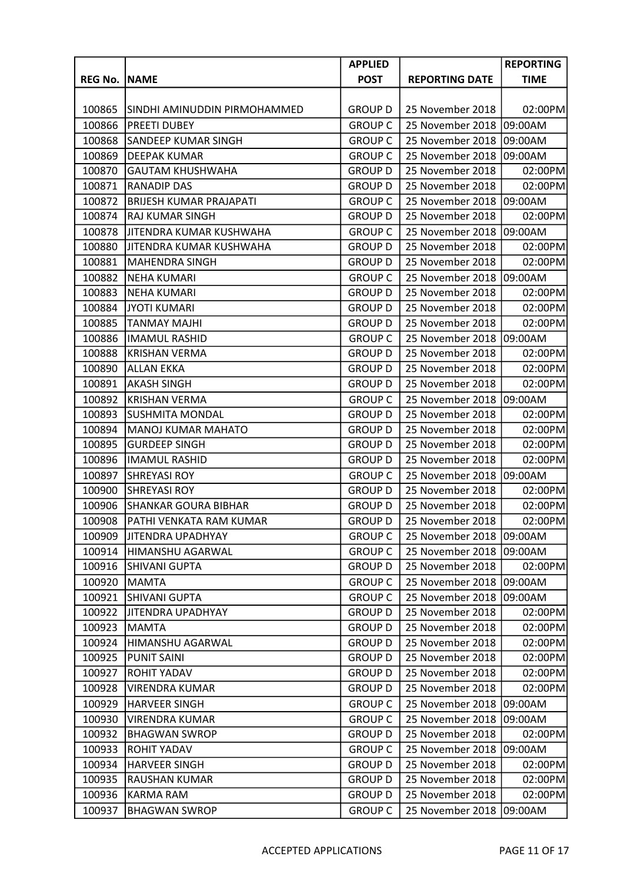|                |                                | <b>APPLIED</b> |                       | <b>REPORTING</b> |
|----------------|--------------------------------|----------------|-----------------------|------------------|
| <b>REG No.</b> | <b>NAME</b>                    | <b>POST</b>    | <b>REPORTING DATE</b> | <b>TIME</b>      |
|                |                                |                |                       |                  |
| 100865         | SINDHI AMINUDDIN PIRMOHAMMED   | <b>GROUP D</b> | 25 November 2018      | 02:00PM          |
| 100866         | <b>PREETI DUBEY</b>            | <b>GROUP C</b> | 25 November 2018      | 09:00AM          |
| 100868         | <b>SANDEEP KUMAR SINGH</b>     | <b>GROUP C</b> | 25 November 2018      | 09:00AM          |
| 100869         | <b>DEEPAK KUMAR</b>            | <b>GROUP C</b> | 25 November 2018      | 09:00AM          |
| 100870         | <b>GAUTAM KHUSHWAHA</b>        | <b>GROUP D</b> | 25 November 2018      | 02:00PM          |
| 100871         | <b>RANADIP DAS</b>             | <b>GROUP D</b> | 25 November 2018      | 02:00PM          |
| 100872         | <b>BRIJESH KUMAR PRAJAPATI</b> | <b>GROUP C</b> | 25 November 2018      | 09:00AM          |
| 100874         | <b>RAJ KUMAR SINGH</b>         | <b>GROUP D</b> | 25 November 2018      | 02:00PM          |
| 100878         | JITENDRA KUMAR KUSHWAHA        | <b>GROUP C</b> | 25 November 2018      | 09:00AM          |
| 100880         | JITENDRA KUMAR KUSHWAHA        | <b>GROUP D</b> | 25 November 2018      | 02:00PM          |
| 100881         | <b>MAHENDRA SINGH</b>          | <b>GROUP D</b> | 25 November 2018      | 02:00PM          |
| 100882         | <b>NEHA KUMARI</b>             | <b>GROUP C</b> | 25 November 2018      | 09:00AM          |
| 100883         | <b>NEHA KUMARI</b>             | <b>GROUP D</b> | 25 November 2018      | 02:00PM          |
| 100884         | <b>JYOTI KUMARI</b>            | <b>GROUP D</b> | 25 November 2018      | 02:00PM          |
| 100885         | <b>TANMAY MAJHI</b>            | <b>GROUP D</b> | 25 November 2018      | 02:00PM          |
| 100886         | <b>IMAMUL RASHID</b>           | <b>GROUP C</b> | 25 November 2018      | 09:00AM          |
| 100888         | <b>KRISHAN VERMA</b>           | <b>GROUP D</b> | 25 November 2018      | 02:00PM          |
| 100890         | <b>ALLAN EKKA</b>              | <b>GROUP D</b> | 25 November 2018      | 02:00PM          |
| 100891         | <b>AKASH SINGH</b>             | <b>GROUP D</b> | 25 November 2018      | 02:00PM          |
| 100892         | <b>KRISHAN VERMA</b>           | <b>GROUP C</b> | 25 November 2018      | 09:00AM          |
| 100893         | <b>SUSHMITA MONDAL</b>         | <b>GROUP D</b> | 25 November 2018      | 02:00PM          |
| 100894         | <b>MANOJ KUMAR MAHATO</b>      | <b>GROUP D</b> | 25 November 2018      | 02:00PM          |
| 100895         | <b>GURDEEP SINGH</b>           | <b>GROUP D</b> | 25 November 2018      | 02:00PM          |
| 100896         | <b>IMAMUL RASHID</b>           | <b>GROUP D</b> | 25 November 2018      | 02:00PM          |
| 100897         | <b>SHREYASI ROY</b>            | <b>GROUP C</b> | 25 November 2018      | 09:00AM          |
| 100900         | <b>SHREYASI ROY</b>            | <b>GROUP D</b> | 25 November 2018      | 02:00PM          |
| 100906         | <b>SHANKAR GOURA BIBHAR</b>    | <b>GROUP D</b> | 25 November 2018      | 02:00PM          |
| 100908         | PATHI VENKATA RAM KUMAR        | <b>GROUP D</b> | 25 November 2018      | 02:00PM          |
| 100909         | <b>JITENDRA UPADHYAY</b>       | <b>GROUP C</b> | 25 November 2018      | 09:00AM          |
| 100914         | HIMANSHU AGARWAL               | <b>GROUP C</b> | 25 November 2018      | 09:00AM          |
| 100916         | <b>SHIVANI GUPTA</b>           | <b>GROUP D</b> | 25 November 2018      | 02:00PM          |
| 100920         | <b>MAMTA</b>                   | <b>GROUP C</b> | 25 November 2018      | 09:00AM          |
| 100921         | <b>SHIVANI GUPTA</b>           | <b>GROUP C</b> | 25 November 2018      | 09:00AM          |
| 100922         | JITENDRA UPADHYAY              | <b>GROUP D</b> | 25 November 2018      | 02:00PM          |
| 100923         | <b>MAMTA</b>                   | <b>GROUP D</b> | 25 November 2018      | 02:00PM          |
| 100924         | HIMANSHU AGARWAL               | <b>GROUP D</b> | 25 November 2018      | 02:00PM          |
| 100925         | <b>PUNIT SAINI</b>             | <b>GROUP D</b> | 25 November 2018      | 02:00PM          |
| 100927         | <b>ROHIT YADAV</b>             | <b>GROUP D</b> | 25 November 2018      | 02:00PM          |
| 100928         | <b>VIRENDRA KUMAR</b>          | <b>GROUP D</b> | 25 November 2018      | 02:00PM          |
| 100929         | <b>HARVEER SINGH</b>           | <b>GROUP C</b> | 25 November 2018      | 09:00AM          |
| 100930         | <b>VIRENDRA KUMAR</b>          | <b>GROUP C</b> | 25 November 2018      | 09:00AM          |
| 100932         | <b>BHAGWAN SWROP</b>           | <b>GROUP D</b> | 25 November 2018      | 02:00PM          |
| 100933         | <b>ROHIT YADAV</b>             | <b>GROUP C</b> | 25 November 2018      | 09:00AM          |
| 100934         | <b>HARVEER SINGH</b>           | <b>GROUP D</b> | 25 November 2018      | 02:00PM          |
| 100935         | RAUSHAN KUMAR                  | <b>GROUP D</b> | 25 November 2018      | 02:00PM          |
| 100936         | <b>KARMA RAM</b>               | <b>GROUP D</b> | 25 November 2018      | 02:00PM          |
| 100937         | <b>BHAGWAN SWROP</b>           | <b>GROUP C</b> | 25 November 2018      | 09:00AM          |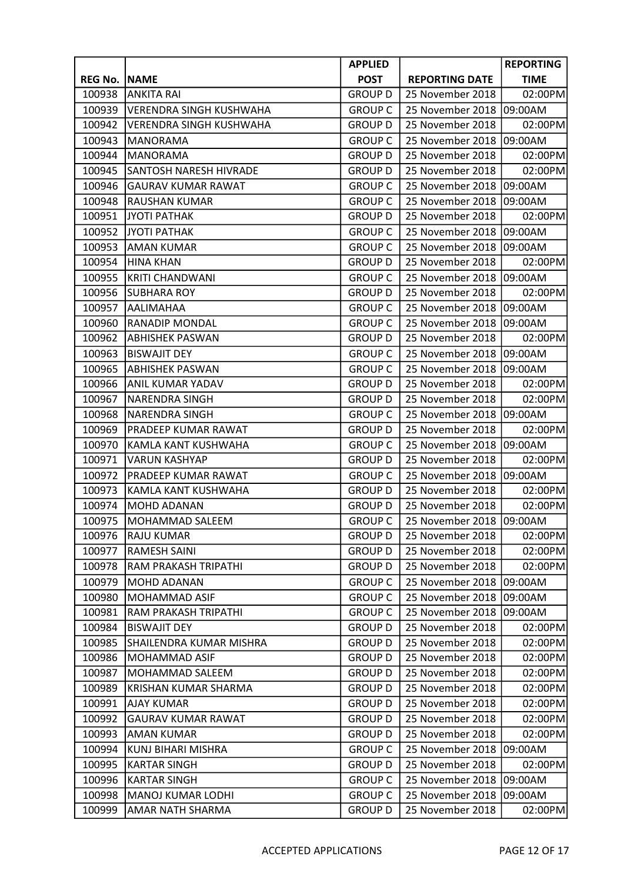|                |                                | <b>APPLIED</b> |                       | <b>REPORTING</b> |
|----------------|--------------------------------|----------------|-----------------------|------------------|
| <b>REG No.</b> | <b>NAME</b>                    | <b>POST</b>    | <b>REPORTING DATE</b> | <b>TIME</b>      |
| 100938         | <b>ANKITA RAI</b>              | <b>GROUP D</b> | 25 November 2018      | 02:00PM          |
| 100939         | <b>VERENDRA SINGH KUSHWAHA</b> | <b>GROUP C</b> | 25 November 2018      | 09:00AM          |
| 100942         | <b>VERENDRA SINGH KUSHWAHA</b> | <b>GROUP D</b> | 25 November 2018      | 02:00PM          |
| 100943         | <b>MANORAMA</b>                | <b>GROUP C</b> | 25 November 2018      | 09:00AM          |
| 100944         | <b>MANORAMA</b>                | <b>GROUP D</b> | 25 November 2018      | 02:00PM          |
| 100945         | SANTOSH NARESH HIVRADE         | <b>GROUP D</b> | 25 November 2018      | 02:00PM          |
| 100946         | <b>GAURAV KUMAR RAWAT</b>      | <b>GROUP C</b> | 25 November 2018      | 09:00AM          |
| 100948         | <b>RAUSHAN KUMAR</b>           | <b>GROUP C</b> | 25 November 2018      | 09:00AM          |
| 100951         | <b>JYOTI PATHAK</b>            | <b>GROUP D</b> | 25 November 2018      | 02:00PM          |
| 100952         | <b>JYOTI PATHAK</b>            | <b>GROUP C</b> | 25 November 2018      | 09:00AM          |
| 100953         | <b>AMAN KUMAR</b>              | <b>GROUP C</b> | 25 November 2018      | 09:00AM          |
| 100954         | <b>HINA KHAN</b>               | <b>GROUP D</b> | 25 November 2018      | 02:00PM          |
| 100955         | <b>KRITI CHANDWANI</b>         | <b>GROUP C</b> | 25 November 2018      | 09:00AM          |
| 100956         | <b>SUBHARA ROY</b>             | <b>GROUP D</b> | 25 November 2018      | 02:00PM          |
| 100957         | AALIMAHAA                      | <b>GROUP C</b> | 25 November 2018      | 09:00AM          |
| 100960         | RANADIP MONDAL                 | <b>GROUP C</b> | 25 November 2018      | 09:00AM          |
| 100962         | <b>ABHISHEK PASWAN</b>         | <b>GROUP D</b> | 25 November 2018      | 02:00PM          |
| 100963         | <b>BISWAJIT DEY</b>            | <b>GROUP C</b> | 25 November 2018      | 09:00AM          |
| 100965         | <b>ABHISHEK PASWAN</b>         | <b>GROUP C</b> | 25 November 2018      | 09:00AM          |
| 100966         | ANIL KUMAR YADAV               | <b>GROUP D</b> | 25 November 2018      | 02:00PM          |
| 100967         | <b>NARENDRA SINGH</b>          | <b>GROUP D</b> | 25 November 2018      | 02:00PM          |
| 100968         | <b>NARENDRA SINGH</b>          | <b>GROUP C</b> | 25 November 2018      | 09:00AM          |
| 100969         | PRADEEP KUMAR RAWAT            | <b>GROUP D</b> | 25 November 2018      | 02:00PM          |
| 100970         | KAMLA KANT KUSHWAHA            | <b>GROUP C</b> | 25 November 2018      | 09:00AM          |
| 100971         | <b>VARUN KASHYAP</b>           | <b>GROUP D</b> | 25 November 2018      | 02:00PM          |
| 100972         | PRADEEP KUMAR RAWAT            | <b>GROUP C</b> | 25 November 2018      | 09:00AM          |
| 100973         | KAMLA KANT KUSHWAHA            | <b>GROUP D</b> | 25 November 2018      | 02:00PM          |
| 100974         | <b>MOHD ADANAN</b>             | <b>GROUP D</b> | 25 November 2018      | 02:00PM          |
| 100975         | <b>MOHAMMAD SALEEM</b>         | <b>GROUP C</b> | 25 November 2018      | 09:00AM          |
| 100976         | <b>RAJU KUMAR</b>              | <b>GROUP D</b> | 25 November 2018      | 02:00PM          |
| 100977         | <b>RAMESH SAINI</b>            | <b>GROUP D</b> | 25 November 2018      | 02:00PM          |
| 100978         | RAM PRAKASH TRIPATHI           | <b>GROUP D</b> | 25 November 2018      | 02:00PM          |
| 100979         | MOHD ADANAN                    | <b>GROUP C</b> | 25 November 2018      | 09:00AM          |
| 100980         | MOHAMMAD ASIF                  | <b>GROUP C</b> | 25 November 2018      | 09:00AM          |
| 100981         | RAM PRAKASH TRIPATHI           | <b>GROUP C</b> | 25 November 2018      | 09:00AM          |
| 100984         | <b>BISWAJIT DEY</b>            | <b>GROUP D</b> | 25 November 2018      | 02:00PM          |
| 100985         | SHAILENDRA KUMAR MISHRA        | <b>GROUP D</b> | 25 November 2018      | 02:00PM          |
| 100986         | MOHAMMAD ASIF                  | <b>GROUP D</b> | 25 November 2018      | 02:00PM          |
| 100987         | MOHAMMAD SALEEM                | <b>GROUP D</b> | 25 November 2018      | 02:00PM          |
| 100989         | <b>KRISHAN KUMAR SHARMA</b>    | <b>GROUP D</b> | 25 November 2018      | 02:00PM          |
| 100991         | <b>AJAY KUMAR</b>              | <b>GROUP D</b> | 25 November 2018      | 02:00PM          |
| 100992         | <b>GAURAV KUMAR RAWAT</b>      | <b>GROUP D</b> | 25 November 2018      | 02:00PM          |
| 100993         | <b>AMAN KUMAR</b>              | <b>GROUP D</b> | 25 November 2018      | 02:00PM          |
| 100994         | KUNJ BIHARI MISHRA             | <b>GROUP C</b> | 25 November 2018      | 09:00AM          |
| 100995         | <b>KARTAR SINGH</b>            | <b>GROUP D</b> | 25 November 2018      | 02:00PM          |
| 100996         | <b>KARTAR SINGH</b>            | <b>GROUP C</b> | 25 November 2018      | 09:00AM          |
| 100998         | MANOJ KUMAR LODHI              | <b>GROUP C</b> | 25 November 2018      | 09:00AM          |
| 100999         | AMAR NATH SHARMA               | <b>GROUP D</b> | 25 November 2018      | 02:00PM          |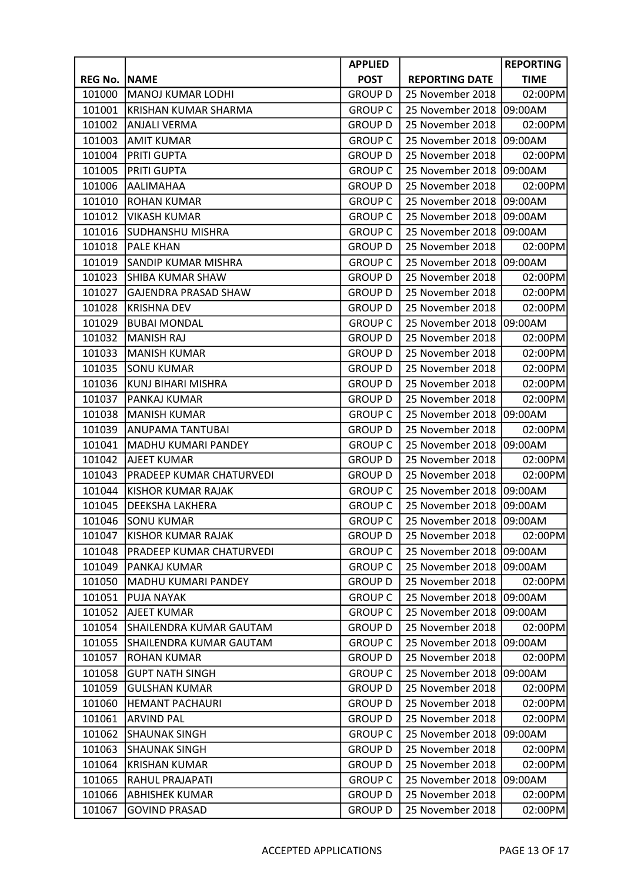|                |                             | <b>APPLIED</b> |                       | <b>REPORTING</b> |
|----------------|-----------------------------|----------------|-----------------------|------------------|
| <b>REG No.</b> | <b>NAME</b>                 | <b>POST</b>    | <b>REPORTING DATE</b> | <b>TIME</b>      |
| 101000         | <b>MANOJ KUMAR LODHI</b>    | <b>GROUP D</b> | 25 November 2018      | 02:00PM          |
| 101001         | KRISHAN KUMAR SHARMA        | <b>GROUP C</b> | 25 November 2018      | 09:00AM          |
| 101002         | <b>ANJALI VERMA</b>         | <b>GROUP D</b> | 25 November 2018      | 02:00PM          |
| 101003         | <b>AMIT KUMAR</b>           | <b>GROUP C</b> | 25 November 2018      | 09:00AM          |
| 101004         | PRITI GUPTA                 | <b>GROUP D</b> | 25 November 2018      | 02:00PM          |
| 101005         | PRITI GUPTA                 | <b>GROUP C</b> | 25 November 2018      | 09:00AM          |
| 101006         | AALIMAHAA                   | <b>GROUP D</b> | 25 November 2018      | 02:00PM          |
| 101010         | <b>ROHAN KUMAR</b>          | <b>GROUP C</b> | 25 November 2018      | 09:00AM          |
| 101012         | <b>VIKASH KUMAR</b>         | <b>GROUP C</b> | 25 November 2018      | 09:00AM          |
| 101016         | <b>SUDHANSHU MISHRA</b>     | <b>GROUP C</b> | 25 November 2018      | 09:00AM          |
| 101018         | <b>PALE KHAN</b>            | <b>GROUP D</b> | 25 November 2018      | 02:00PM          |
| 101019         | SANDIP KUMAR MISHRA         | <b>GROUP C</b> | 25 November 2018      | 09:00AM          |
| 101023         | SHIBA KUMAR SHAW            | <b>GROUP D</b> | 25 November 2018      | 02:00PM          |
| 101027         | <b>GAJENDRA PRASAD SHAW</b> | <b>GROUP D</b> | 25 November 2018      | 02:00PM          |
| 101028         | <b>KRISHNA DEV</b>          | <b>GROUP D</b> | 25 November 2018      | 02:00PM          |
| 101029         | <b>BUBAI MONDAL</b>         | <b>GROUP C</b> | 25 November 2018      | 09:00AM          |
| 101032         | <b>MANISH RAJ</b>           | <b>GROUP D</b> | 25 November 2018      | 02:00PM          |
| 101033         | <b>MANISH KUMAR</b>         | <b>GROUP D</b> | 25 November 2018      | 02:00PM          |
| 101035         | <b>SONU KUMAR</b>           | <b>GROUP D</b> | 25 November 2018      | 02:00PM          |
| 101036         | KUNJ BIHARI MISHRA          | <b>GROUP D</b> | 25 November 2018      | 02:00PM          |
| 101037         | PANKAJ KUMAR                | <b>GROUP D</b> | 25 November 2018      | 02:00PM          |
| 101038         | <b>MANISH KUMAR</b>         | <b>GROUP C</b> | 25 November 2018      | 09:00AM          |
| 101039         | <b>ANUPAMA TANTUBAI</b>     | <b>GROUP D</b> | 25 November 2018      | 02:00PM          |
| 101041         | MADHU KUMARI PANDEY         | <b>GROUP C</b> | 25 November 2018      | 09:00AM          |
| 101042         | <b>AJEET KUMAR</b>          | <b>GROUP D</b> | 25 November 2018      | 02:00PM          |
| 101043         | PRADEEP KUMAR CHATURVEDI    | <b>GROUP D</b> | 25 November 2018      | 02:00PM          |
| 101044         | <b>KISHOR KUMAR RAJAK</b>   | <b>GROUP C</b> | 25 November 2018      | 09:00AM          |
| 101045         | DEEKSHA LAKHERA             | <b>GROUP C</b> | 25 November 2018      | 09:00AM          |
| 101046         | <b>SONU KUMAR</b>           | <b>GROUP C</b> | 25 November 2018      | 09:00AM          |
| 101047         | <b>KISHOR KUMAR RAJAK</b>   | <b>GROUP D</b> | 25 November 2018      | 02:00PM          |
| 101048         | PRADEEP KUMAR CHATURVEDI    | <b>GROUP C</b> | 25 November 2018      | 09:00AM          |
| 101049         | PANKAJ KUMAR                | <b>GROUP C</b> | 25 November 2018      | 09:00AM          |
| 101050         | MADHU KUMARI PANDEY         | <b>GROUP D</b> | 25 November 2018      | 02:00PM          |
| 101051         | <b>PUJA NAYAK</b>           | <b>GROUP C</b> | 25 November 2018      | 09:00AM          |
| 101052         | <b>AJEET KUMAR</b>          | <b>GROUP C</b> | 25 November 2018      | 09:00AM          |
| 101054         | SHAILENDRA KUMAR GAUTAM     | <b>GROUP D</b> | 25 November 2018      | 02:00PM          |
| 101055         | SHAILENDRA KUMAR GAUTAM     | <b>GROUP C</b> | 25 November 2018      | 09:00AM          |
| 101057         | <b>ROHAN KUMAR</b>          | <b>GROUP D</b> | 25 November 2018      | 02:00PM          |
| 101058         | <b>GUPT NATH SINGH</b>      | <b>GROUP C</b> | 25 November 2018      | 09:00AM          |
| 101059         | <b>GULSHAN KUMAR</b>        | <b>GROUP D</b> | 25 November 2018      | 02:00PM          |
| 101060         | <b>HEMANT PACHAURI</b>      | <b>GROUP D</b> | 25 November 2018      | 02:00PM          |
| 101061         | <b>ARVIND PAL</b>           | <b>GROUP D</b> | 25 November 2018      | 02:00PM          |
| 101062         | <b>SHAUNAK SINGH</b>        | <b>GROUP C</b> | 25 November 2018      | 09:00AM          |
| 101063         | <b>SHAUNAK SINGH</b>        | <b>GROUP D</b> | 25 November 2018      | 02:00PM          |
| 101064         | <b>KRISHAN KUMAR</b>        | <b>GROUP D</b> | 25 November 2018      | 02:00PM          |
| 101065         | RAHUL PRAJAPATI             | <b>GROUP C</b> | 25 November 2018      | 09:00AM          |
| 101066         | <b>ABHISHEK KUMAR</b>       | <b>GROUP D</b> | 25 November 2018      | 02:00PM          |
| 101067         | <b>GOVIND PRASAD</b>        | <b>GROUP D</b> | 25 November 2018      | 02:00PM          |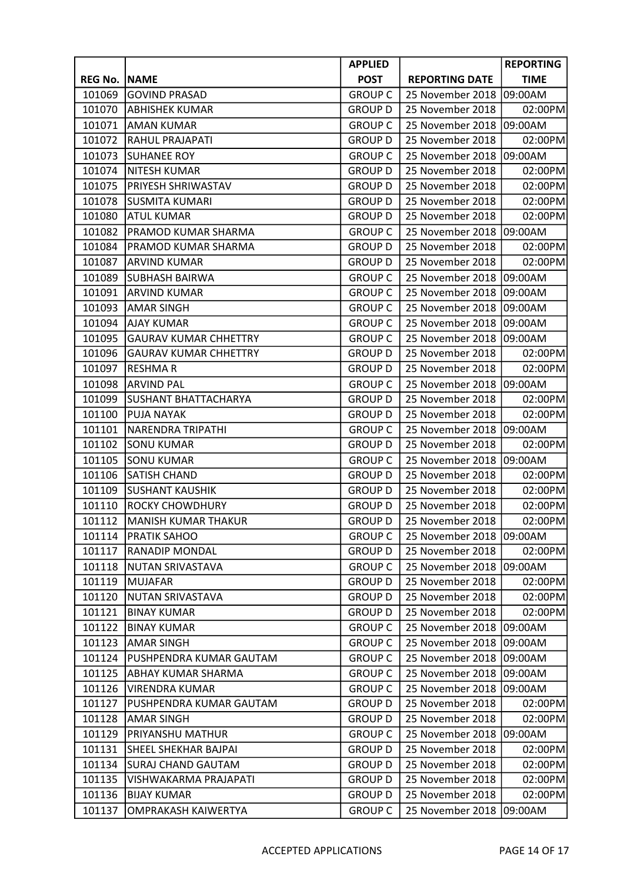|                |                              | <b>APPLIED</b> |                       | <b>REPORTING</b> |
|----------------|------------------------------|----------------|-----------------------|------------------|
| <b>REG No.</b> | <b>NAME</b>                  | <b>POST</b>    | <b>REPORTING DATE</b> | <b>TIME</b>      |
| 101069         | <b>GOVIND PRASAD</b>         | <b>GROUP C</b> | 25 November 2018      | 09:00AM          |
| 101070         | <b>ABHISHEK KUMAR</b>        | <b>GROUP D</b> | 25 November 2018      | 02:00PM          |
| 101071         | <b>AMAN KUMAR</b>            | <b>GROUP C</b> | 25 November 2018      | 09:00AM          |
| 101072         | <b>RAHUL PRAJAPATI</b>       | <b>GROUP D</b> | 25 November 2018      | 02:00PM          |
| 101073         | <b>SUHANEE ROY</b>           | <b>GROUP C</b> | 25 November 2018      | 09:00AM          |
| 101074         | <b>NITESH KUMAR</b>          | <b>GROUP D</b> | 25 November 2018      | 02:00PM          |
| 101075         | PRIYESH SHRIWASTAV           | <b>GROUP D</b> | 25 November 2018      | 02:00PM          |
| 101078         | <b>SUSMITA KUMARI</b>        | <b>GROUP D</b> | 25 November 2018      | 02:00PM          |
| 101080         | <b>ATUL KUMAR</b>            | <b>GROUP D</b> | 25 November 2018      | 02:00PM          |
| 101082         | PRAMOD KUMAR SHARMA          | <b>GROUP C</b> | 25 November 2018      | 09:00AM          |
| 101084         | PRAMOD KUMAR SHARMA          | <b>GROUP D</b> | 25 November 2018      | 02:00PM          |
| 101087         | <b>ARVIND KUMAR</b>          | <b>GROUP D</b> | 25 November 2018      | 02:00PM          |
| 101089         | <b>SUBHASH BAIRWA</b>        | <b>GROUP C</b> | 25 November 2018      | 09:00AM          |
| 101091         | <b>ARVIND KUMAR</b>          | <b>GROUP C</b> | 25 November 2018      | 09:00AM          |
| 101093         | <b>AMAR SINGH</b>            | <b>GROUP C</b> | 25 November 2018      | 09:00AM          |
| 101094         | <b>AJAY KUMAR</b>            | <b>GROUP C</b> | 25 November 2018      | 09:00AM          |
| 101095         | <b>GAURAV KUMAR CHHETTRY</b> | <b>GROUP C</b> | 25 November 2018      | 09:00AM          |
| 101096         | <b>GAURAV KUMAR CHHETTRY</b> | <b>GROUP D</b> | 25 November 2018      | 02:00PM          |
| 101097         | <b>RESHMAR</b>               | <b>GROUP D</b> | 25 November 2018      | 02:00PM          |
| 101098         | <b>ARVIND PAL</b>            | <b>GROUP C</b> | 25 November 2018      | 09:00AM          |
| 101099         | <b>SUSHANT BHATTACHARYA</b>  | <b>GROUP D</b> | 25 November 2018      | 02:00PM          |
| 101100         | <b>PUJA NAYAK</b>            | <b>GROUP D</b> | 25 November 2018      | 02:00PM          |
| 101101         | NARENDRA TRIPATHI            | <b>GROUP C</b> | 25 November 2018      | 09:00AM          |
| 101102         | <b>SONU KUMAR</b>            | <b>GROUP D</b> | 25 November 2018      | 02:00PM          |
| 101105         | <b>SONU KUMAR</b>            | <b>GROUP C</b> | 25 November 2018      | 09:00AM          |
| 101106         | <b>SATISH CHAND</b>          | <b>GROUP D</b> | 25 November 2018      | 02:00PM          |
| 101109         | <b>SUSHANT KAUSHIK</b>       | <b>GROUP D</b> | 25 November 2018      | 02:00PM          |
| 101110         | <b>ROCKY CHOWDHURY</b>       | <b>GROUP D</b> | 25 November 2018      | 02:00PM          |
| 101112         | <b>MANISH KUMAR THAKUR</b>   | <b>GROUP D</b> | 25 November 2018      | 02:00PM          |
| 101114         | <b>PRATIK SAHOO</b>          | <b>GROUP C</b> | 25 November 2018      | 09:00AM          |
| 101117         | RANADIP MONDAL               | <b>GROUP D</b> | 25 November 2018      | 02:00PM          |
| 101118         | <b>NUTAN SRIVASTAVA</b>      | <b>GROUP C</b> | 25 November 2018      | 09:00AM          |
| 101119         | <b>MUJAFAR</b>               | <b>GROUP D</b> | 25 November 2018      | 02:00PM          |
| 101120         | <b>NUTAN SRIVASTAVA</b>      | <b>GROUP D</b> | 25 November 2018      | 02:00PM          |
| 101121         | <b>BINAY KUMAR</b>           | <b>GROUP D</b> | 25 November 2018      | 02:00PM          |
| 101122         | <b>BINAY KUMAR</b>           | <b>GROUP C</b> | 25 November 2018      | 09:00AM          |
| 101123         | <b>AMAR SINGH</b>            | <b>GROUP C</b> | 25 November 2018      | 09:00AM          |
| 101124         | PUSHPENDRA KUMAR GAUTAM      | <b>GROUP C</b> | 25 November 2018      | 09:00AM          |
| 101125         | ABHAY KUMAR SHARMA           | <b>GROUP C</b> | 25 November 2018      | 09:00AM          |
| 101126         | <b>VIRENDRA KUMAR</b>        | <b>GROUP C</b> | 25 November 2018      | 09:00AM          |
| 101127         | PUSHPENDRA KUMAR GAUTAM      | <b>GROUP D</b> | 25 November 2018      | 02:00PM          |
| 101128         | AMAR SINGH                   | <b>GROUP D</b> | 25 November 2018      | 02:00PM          |
| 101129         | PRIYANSHU MATHUR             | <b>GROUP C</b> | 25 November 2018      | 09:00AM          |
| 101131         | SHEEL SHEKHAR BAJPAI         | <b>GROUP D</b> | 25 November 2018      | 02:00PM          |
| 101134         | <b>SURAJ CHAND GAUTAM</b>    | <b>GROUP D</b> | 25 November 2018      | 02:00PM          |
| 101135         | VISHWAKARMA PRAJAPATI        | <b>GROUP D</b> | 25 November 2018      | 02:00PM          |
| 101136         | <b>BIJAY KUMAR</b>           | <b>GROUP D</b> | 25 November 2018      | 02:00PM          |
| 101137         | OMPRAKASH KAIWERTYA          | <b>GROUP C</b> | 25 November 2018      | 09:00AM          |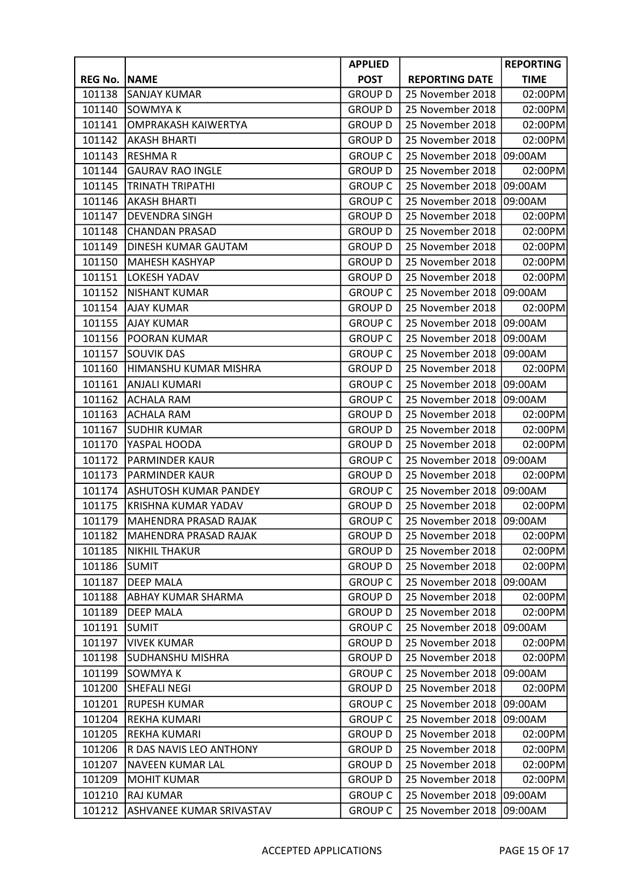|                |                                 | <b>APPLIED</b> |                       | <b>REPORTING</b> |
|----------------|---------------------------------|----------------|-----------------------|------------------|
| <b>REG No.</b> | <b>NAME</b>                     | <b>POST</b>    | <b>REPORTING DATE</b> | <b>TIME</b>      |
| 101138         | <b>SANJAY KUMAR</b>             | <b>GROUP D</b> | 25 November 2018      | 02:00PM          |
| 101140         | <b>SOWMYAK</b>                  | <b>GROUP D</b> | 25 November 2018      | 02:00PM          |
| 101141         | <b>OMPRAKASH KAIWERTYA</b>      | <b>GROUP D</b> | 25 November 2018      | 02:00PM          |
| 101142         | <b>AKASH BHARTI</b>             | <b>GROUP D</b> | 25 November 2018      | 02:00PM          |
| 101143         | <b>RESHMAR</b>                  | <b>GROUP C</b> | 25 November 2018      | 09:00AM          |
| 101144         | <b>GAURAV RAO INGLE</b>         | <b>GROUP D</b> | 25 November 2018      | 02:00PM          |
| 101145         | <b>TRINATH TRIPATHI</b>         | <b>GROUP C</b> | 25 November 2018      | 09:00AM          |
| 101146         | <b>AKASH BHARTI</b>             | <b>GROUP C</b> | 25 November 2018      | 09:00AM          |
| 101147         | <b>DEVENDRA SINGH</b>           | <b>GROUP D</b> | 25 November 2018      | 02:00PM          |
| 101148         | <b>CHANDAN PRASAD</b>           | <b>GROUP D</b> | 25 November 2018      | 02:00PM          |
| 101149         | DINESH KUMAR GAUTAM             | <b>GROUP D</b> | 25 November 2018      | 02:00PM          |
| 101150         | <b>MAHESH KASHYAP</b>           | <b>GROUP D</b> | 25 November 2018      | 02:00PM          |
| 101151         | LOKESH YADAV                    | <b>GROUP D</b> | 25 November 2018      | 02:00PM          |
| 101152         | <b>NISHANT KUMAR</b>            | <b>GROUP C</b> | 25 November 2018      | 09:00AM          |
| 101154         | AJAY KUMAR                      | <b>GROUP D</b> | 25 November 2018      | 02:00PM          |
| 101155         | <b>AJAY KUMAR</b>               | <b>GROUP C</b> | 25 November 2018      | 09:00AM          |
| 101156         | POORAN KUMAR                    | <b>GROUP C</b> | 25 November 2018      | 09:00AM          |
| 101157         | <b>SOUVIK DAS</b>               | <b>GROUP C</b> | 25 November 2018      | 09:00AM          |
| 101160         | HIMANSHU KUMAR MISHRA           | <b>GROUP D</b> | 25 November 2018      | 02:00PM          |
| 101161         | <b>ANJALI KUMARI</b>            | <b>GROUP C</b> | 25 November 2018      | 09:00AM          |
| 101162         | <b>ACHALA RAM</b>               | <b>GROUP C</b> | 25 November 2018      | 09:00AM          |
| 101163         | <b>ACHALA RAM</b>               | <b>GROUP D</b> | 25 November 2018      | 02:00PM          |
| 101167         | <b>SUDHIR KUMAR</b>             | <b>GROUP D</b> | 25 November 2018      | 02:00PM          |
| 101170         | YASPAL HOODA                    | <b>GROUP D</b> | 25 November 2018      | 02:00PM          |
| 101172         | <b>PARMINDER KAUR</b>           | <b>GROUP C</b> | 25 November 2018      | 09:00AM          |
| 101173         | <b>PARMINDER KAUR</b>           | <b>GROUP D</b> | 25 November 2018      | 02:00PM          |
| 101174         | <b>ASHUTOSH KUMAR PANDEY</b>    | <b>GROUP C</b> | 25 November 2018      | 09:00AM          |
| 101175         | KRISHNA KUMAR YADAV             | <b>GROUP D</b> | 25 November 2018      | 02:00PM          |
| 101179         | MAHENDRA PRASAD RAJAK           | <b>GROUP C</b> | 25 November 2018      | 09:00AM          |
| 101182         | MAHENDRA PRASAD RAJAK           | <b>GROUP D</b> | 25 November 2018      | 02:00PM          |
| 101185         | <b>NIKHIL THAKUR</b>            | <b>GROUP D</b> | 25 November 2018      | 02:00PM          |
| 101186         | SUMIT                           | <b>GROUP D</b> | 25 November 2018      | 02:00PM          |
| 101187         | <b>DEEP MALA</b>                | <b>GROUP C</b> | 25 November 2018      | 09:00AM          |
| 101188         | <b>ABHAY KUMAR SHARMA</b>       | <b>GROUP D</b> | 25 November 2018      | 02:00PM          |
| 101189         | <b>DEEP MALA</b>                | <b>GROUP D</b> | 25 November 2018      | 02:00PM          |
| 101191         | <b>SUMIT</b>                    | <b>GROUP C</b> | 25 November 2018      | 09:00AM          |
| 101197         | <b>VIVEK KUMAR</b>              | <b>GROUP D</b> | 25 November 2018      | 02:00PM          |
| 101198         | <b>SUDHANSHU MISHRA</b>         | <b>GROUP D</b> | 25 November 2018      | 02:00PM          |
| 101199         | <b>SOWMYAK</b>                  | <b>GROUP C</b> | 25 November 2018      | 09:00AM          |
| 101200         | SHEFALI NEGI                    | <b>GROUP D</b> | 25 November 2018      | 02:00PM          |
| 101201         | <b>RUPESH KUMAR</b>             | <b>GROUP C</b> | 25 November 2018      | 09:00AM          |
| 101204         | <b>REKHA KUMARI</b>             | <b>GROUP C</b> | 25 November 2018      | 09:00AM          |
| 101205         | <b>REKHA KUMARI</b>             | <b>GROUP D</b> | 25 November 2018      | 02:00PM          |
| 101206         | R DAS NAVIS LEO ANTHONY         | <b>GROUP D</b> | 25 November 2018      | 02:00PM          |
| 101207         | <b>NAVEEN KUMAR LAL</b>         | <b>GROUP D</b> | 25 November 2018      | 02:00PM          |
| 101209         | <b>MOHIT KUMAR</b>              | <b>GROUP D</b> | 25 November 2018      | 02:00PM          |
| 101210         | <b>RAJ KUMAR</b>                | <b>GROUP C</b> | 25 November 2018      | 09:00AM          |
| 101212         | <b>ASHVANEE KUMAR SRIVASTAV</b> | <b>GROUP C</b> | 25 November 2018      | 09:00AM          |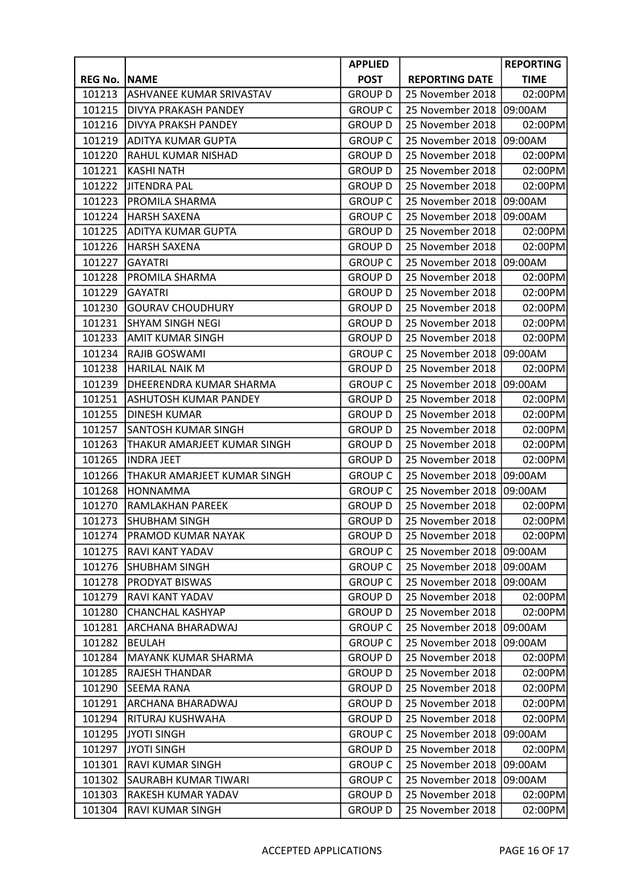|                |                              | <b>APPLIED</b> |                       | <b>REPORTING</b> |
|----------------|------------------------------|----------------|-----------------------|------------------|
| <b>REG No.</b> | <b>NAME</b>                  | <b>POST</b>    | <b>REPORTING DATE</b> | <b>TIME</b>      |
| 101213         | ASHVANEE KUMAR SRIVASTAV     | <b>GROUP D</b> | 25 November 2018      | 02:00PM          |
| 101215         | <b>DIVYA PRAKASH PANDEY</b>  | <b>GROUP C</b> | 25 November 2018      | 09:00AM          |
| 101216         | <b>DIVYA PRAKSH PANDEY</b>   | <b>GROUP D</b> | 25 November 2018      | 02:00PM          |
| 101219         | <b>ADITYA KUMAR GUPTA</b>    | <b>GROUP C</b> | 25 November 2018      | 09:00AM          |
| 101220         | RAHUL KUMAR NISHAD           | <b>GROUP D</b> | 25 November 2018      | 02:00PM          |
| 101221         | <b>KASHI NATH</b>            | <b>GROUP D</b> | 25 November 2018      | 02:00PM          |
| 101222         | JITENDRA PAL                 | <b>GROUP D</b> | 25 November 2018      | 02:00PM          |
| 101223         | PROMILA SHARMA               | <b>GROUP C</b> | 25 November 2018      | 09:00AM          |
| 101224         | HARSH SAXENA                 | <b>GROUP C</b> | 25 November 2018      | 09:00AM          |
| 101225         | ADITYA KUMAR GUPTA           | <b>GROUP D</b> | 25 November 2018      | 02:00PM          |
| 101226         | <b>HARSH SAXENA</b>          | <b>GROUP D</b> | 25 November 2018      | 02:00PM          |
| 101227         | <b>GAYATRI</b>               | <b>GROUP C</b> | 25 November 2018      | 09:00AM          |
| 101228         | <b>PROMILA SHARMA</b>        | <b>GROUP D</b> | 25 November 2018      | 02:00PM          |
| 101229         | <b>GAYATRI</b>               | <b>GROUP D</b> | 25 November 2018      | 02:00PM          |
| 101230         | <b>GOURAV CHOUDHURY</b>      | <b>GROUP D</b> | 25 November 2018      | 02:00PM          |
| 101231         | <b>SHYAM SINGH NEGI</b>      | <b>GROUP D</b> | 25 November 2018      | 02:00PM          |
| 101233         | AMIT KUMAR SINGH             | <b>GROUP D</b> | 25 November 2018      | 02:00PM          |
| 101234         | RAJIB GOSWAMI                | <b>GROUP C</b> | 25 November 2018      | 09:00AM          |
| 101238         | HARILAL NAIK M               | <b>GROUP D</b> | 25 November 2018      | 02:00PM          |
| 101239         | DHEERENDRA KUMAR SHARMA      | <b>GROUP C</b> | 25 November 2018      | 09:00AM          |
| 101251         | <b>ASHUTOSH KUMAR PANDEY</b> | <b>GROUP D</b> | 25 November 2018      | 02:00PM          |
| 101255         | <b>DINESH KUMAR</b>          | <b>GROUP D</b> | 25 November 2018      | 02:00PM          |
| 101257         | <b>SANTOSH KUMAR SINGH</b>   | <b>GROUP D</b> | 25 November 2018      | 02:00PM          |
| 101263         | THAKUR AMARJEET KUMAR SINGH  | <b>GROUP D</b> | 25 November 2018      | 02:00PM          |
| 101265         | <b>INDRA JEET</b>            | <b>GROUP D</b> | 25 November 2018      | 02:00PM          |
| 101266         | THAKUR AMARJEET KUMAR SINGH  | <b>GROUP C</b> | 25 November 2018      | 09:00AM          |
| 101268         | <b>HONNAMMA</b>              | <b>GROUP C</b> | 25 November 2018      | 09:00AM          |
| 101270         | <b>RAMLAKHAN PAREEK</b>      | <b>GROUP D</b> | 25 November 2018      | 02:00PM          |
| 101273         | <b>SHUBHAM SINGH</b>         | <b>GROUP D</b> | 25 November 2018      | 02:00PM          |
| 101274         | <b>PRAMOD KUMAR NAYAK</b>    | <b>GROUP D</b> | 25 November 2018      | 02:00PM          |
| 101275         | RAVI KANT YADAV              | <b>GROUP C</b> | 25 November 2018      | 09:00AM          |
| 101276         | <b>SHUBHAM SINGH</b>         | <b>GROUP C</b> | 25 November 2018      | 09:00AM          |
| 101278         | <b>PRODYAT BISWAS</b>        | <b>GROUP C</b> | 25 November 2018      | 09:00AM          |
| 101279         | RAVI KANT YADAV              | <b>GROUP D</b> | 25 November 2018      | 02:00PM          |
| 101280         | <b>CHANCHAL KASHYAP</b>      | <b>GROUP D</b> | 25 November 2018      | 02:00PM          |
| 101281         | ARCHANA BHARADWAJ            | <b>GROUP C</b> | 25 November 2018      | 09:00AM          |
| 101282         | <b>BEULAH</b>                | <b>GROUP C</b> | 25 November 2018      | 09:00AM          |
| 101284         | <b>MAYANK KUMAR SHARMA</b>   | <b>GROUP D</b> | 25 November 2018      | 02:00PM          |
| 101285         | <b>RAJESH THANDAR</b>        | <b>GROUP D</b> | 25 November 2018      | 02:00PM          |
| 101290         | SEEMA RANA                   | <b>GROUP D</b> | 25 November 2018      | 02:00PM          |
| 101291         | ARCHANA BHARADWAJ            | <b>GROUP D</b> | 25 November 2018      | 02:00PM          |
| 101294         | RITURAJ KUSHWAHA             | <b>GROUP D</b> | 25 November 2018      | 02:00PM          |
| 101295         | <b>JYOTI SINGH</b>           | <b>GROUP C</b> | 25 November 2018      | 09:00AM          |
| 101297         | <b>JYOTI SINGH</b>           | <b>GROUP D</b> | 25 November 2018      | 02:00PM          |
| 101301         | RAVI KUMAR SINGH             | <b>GROUP C</b> | 25 November 2018      | 09:00AM          |
| 101302         | SAURABH KUMAR TIWARI         | <b>GROUP C</b> | 25 November 2018      | 09:00AM          |
| 101303         | RAKESH KUMAR YADAV           | <b>GROUP D</b> | 25 November 2018      | 02:00PM          |
| 101304         | RAVI KUMAR SINGH             | <b>GROUP D</b> | 25 November 2018      | 02:00PM          |